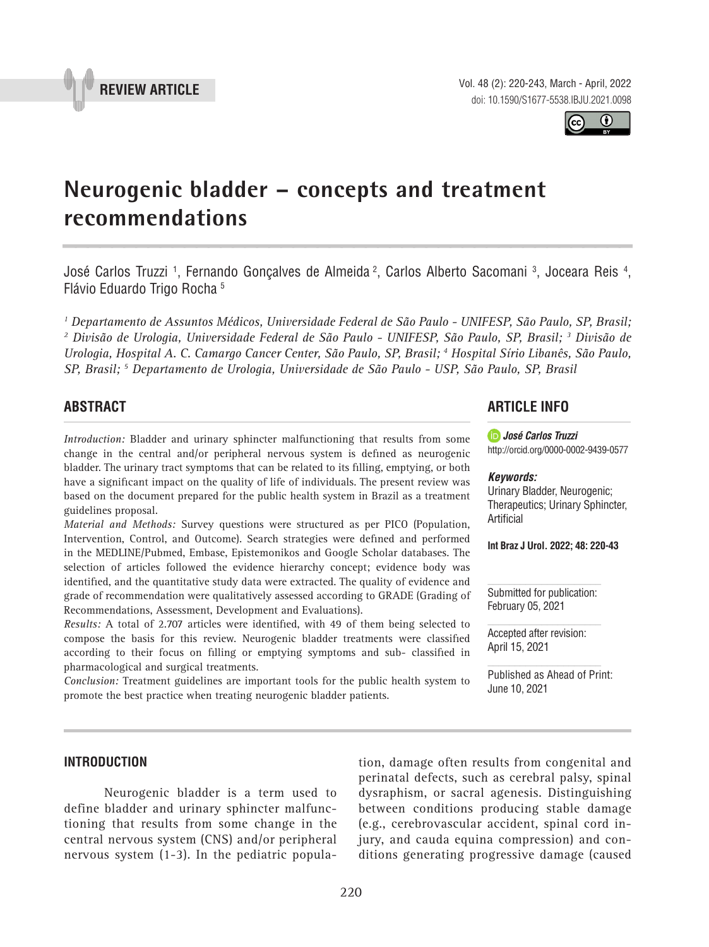

Vol. 48 (2): 220-243, March - April, 2022 doi: 10.1590/S1677-5538.IBJU.2021.0098

# **Neurogenic bladder – concepts and treatment recommendations \_\_\_\_\_\_\_\_\_\_\_\_\_\_\_\_\_\_\_\_\_\_\_\_\_\_\_\_\_\_\_\_\_\_\_\_\_\_\_\_\_\_\_\_\_\_\_**

José Carlos Truzzi <sup>1</sup>, Fernando Gonçalves de Almeida <sup>2</sup>, Carlos Alberto Sacomani <sup>3</sup>, Joceara Reis <sup>4</sup>, Flávio Eduardo Trigo Rocha 5

*1 Departamento de Assuntos Médicos, Universidade Federal de São Paulo - UNIFESP, São Paulo, SP, Brasil; 2 Divisão de Urologia, Universidade Federal de São Paulo - UNIFESP, São Paulo, SP, Brasil; 3 Divisão de Urologia, Hospital A. C. Camargo Cancer Center, São Paulo, SP, Brasil; 4 Hospital Sírio Libanês, São Paulo, SP, Brasil; 5 Departamento de Urologia, Universidade de São Paulo - USP, São Paulo, SP, Brasil*

# **ABSTRACT**

*Introduction:* Bladder and urinary sphincter malfunctioning that results from some change in the central and/or peripheral nervous system is defined as neurogenic bladder. The urinary tract symptoms that can be related to its filling, emptying, or both have a significant impact on the quality of life of individuals. The present review was based on the document prepared for the public health system in Brazil as a treatment guidelines proposal.

*Material and Methods:* Survey questions were structured as per PICO (Population, Intervention, Control, and Outcome). Search strategies were defined and performed in the MEDLINE/Pubmed, Embase, Epistemonikos and Google Scholar databases. The selection of articles followed the evidence hierarchy concept; evidence body was identified, and the quantitative study data were extracted. The quality of evidence and grade of recommendation were qualitatively assessed according to GRADE (Grading of Recommendations, Assessment, Development and Evaluations).

*Results:* A total of 2.707 articles were identified, with 49 of them being selected to compose the basis for this review. Neurogenic bladder treatments were classified according to their focus on filling or emptying symptoms and sub- classified in pharmacological and surgical treatments.

*Conclusion:* Treatment guidelines are important tools for the public health system to promote the best practice when treating neurogenic bladder patients.

## **ARTICLE INFO**

*José Carlos Truzzi* http://orcid.org/0000-0002-9439-0577

#### *Keywords:*

Urinary Bladder, Neurogenic; Therapeutics; Urinary Sphincter, Artificial

**Int Braz J Urol. 2022; 48: 220-43**

Submitted for publication: February 05, 2021

Accepted after revision: April 15, 2021

Published as Ahead of Print: June 10, 2021

## **INTRODUCTION**

Neurogenic bladder is a term used to define bladder and urinary sphincter malfunctioning that results from some change in the central nervous system (CNS) and/or peripheral nervous system (1-3). In the pediatric popula-

tion, damage often results from congenital and perinatal defects, such as cerebral palsy, spinal dysraphism, or sacral agenesis. Distinguishing between conditions producing stable damage (e.g., cerebrovascular accident, spinal cord injury, and cauda equina compression) and conditions generating progressive damage (caused



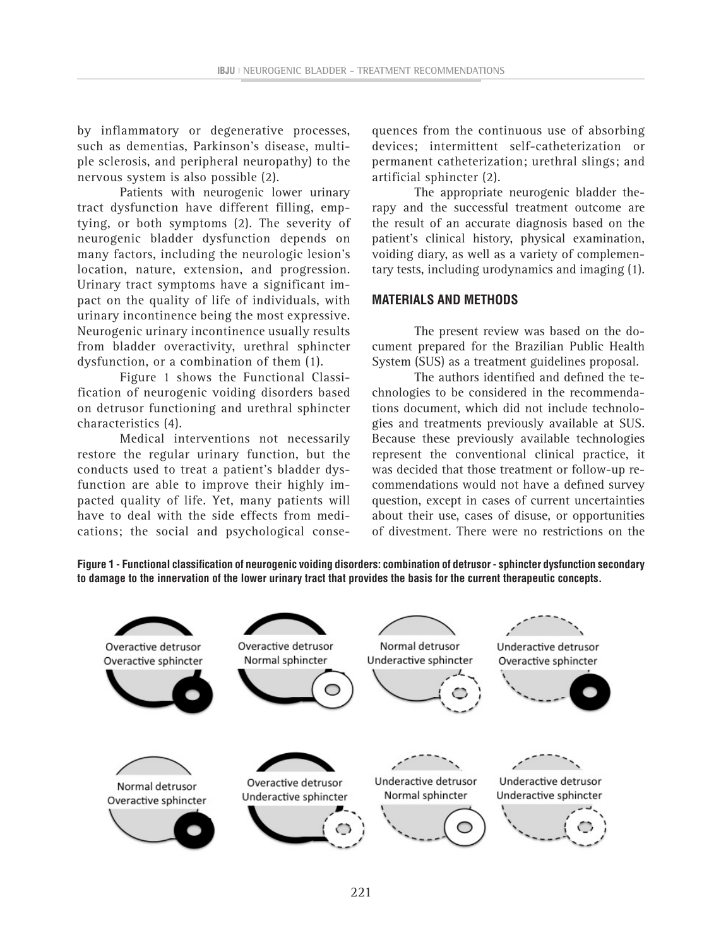by inflammatory or degenerative processes, such as dementias, Parkinson's disease, multiple sclerosis, and peripheral neuropathy) to the nervous system is also possible (2).

Patients with neurogenic lower urinary tract dysfunction have different filling, emptying, or both symptoms (2). The severity of neurogenic bladder dysfunction depends on many factors, including the neurologic lesion's location, nature, extension, and progression. Urinary tract symptoms have a significant impact on the quality of life of individuals, with urinary incontinence being the most expressive. Neurogenic urinary incontinence usually results from bladder overactivity, urethral sphincter dysfunction, or a combination of them (1).

Figure 1 shows the Functional Classification of neurogenic voiding disorders based on detrusor functioning and urethral sphincter characteristics (4).

Medical interventions not necessarily restore the regular urinary function, but the conducts used to treat a patient's bladder dysfunction are able to improve their highly impacted quality of life. Yet, many patients will have to deal with the side effects from medications; the social and psychological consequences from the continuous use of absorbing devices; intermittent self-catheterization or permanent catheterization; urethral slings; and artificial sphincter (2).

The appropriate neurogenic bladder therapy and the successful treatment outcome are the result of an accurate diagnosis based on the patient's clinical history, physical examination, voiding diary, as well as a variety of complementary tests, including urodynamics and imaging (1).

#### **MATERIALS AND METHODS**

The present review was based on the document prepared for the Brazilian Public Health System (SUS) as a treatment guidelines proposal.

The authors identified and defined the technologies to be considered in the recommendations document, which did not include technologies and treatments previously available at SUS. Because these previously available technologies represent the conventional clinical practice, it was decided that those treatment or follow-up recommendations would not have a defined survey question, except in cases of current uncertainties about their use, cases of disuse, or opportunities of divestment. There were no restrictions on the



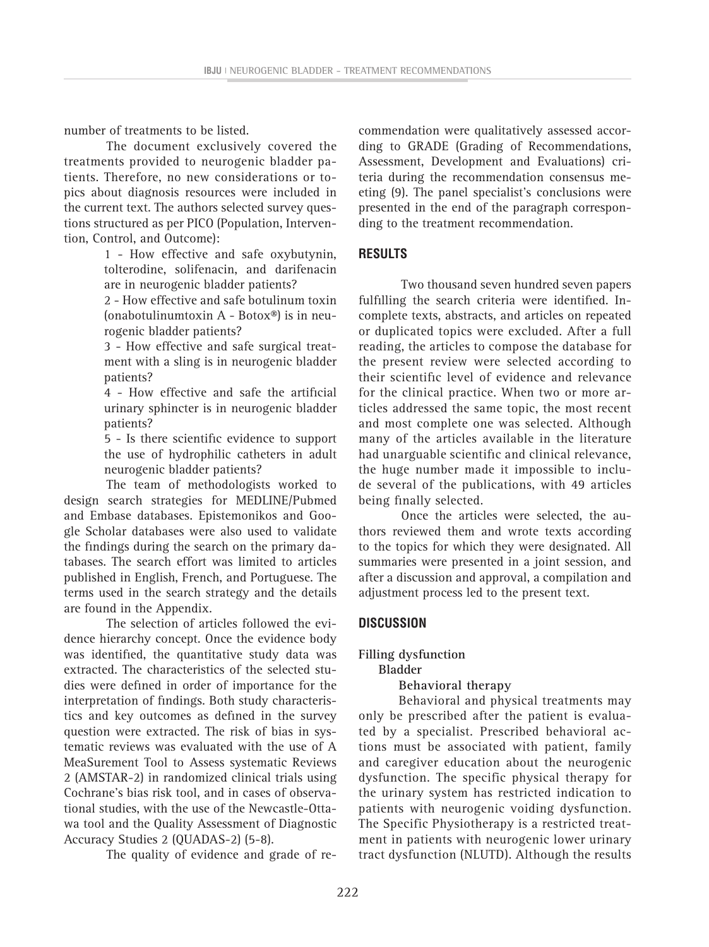number of treatments to be listed.

The document exclusively covered the treatments provided to neurogenic bladder patients. Therefore, no new considerations or topics about diagnosis resources were included in the current text. The authors selected survey questions structured as per PICO (Population, Intervention, Control, and Outcome):

> 1 - How effective and safe oxybutynin, tolterodine, solifenacin, and darifenacin are in neurogenic bladder patients?

> 2 - How effective and safe botulinum toxin (onabotulinumtoxin A - Botox®) is in neurogenic bladder patients?

> 3 - How effective and safe surgical treatment with a sling is in neurogenic bladder patients?

> 4 - How effective and safe the artificial urinary sphincter is in neurogenic bladder patients?

> 5 - Is there scientific evidence to support the use of hydrophilic catheters in adult neurogenic bladder patients?

The team of methodologists worked to design search strategies for MEDLINE/Pubmed and Embase databases. Epistemonikos and Google Scholar databases were also used to validate the findings during the search on the primary databases. The search effort was limited to articles published in English, French, and Portuguese. The terms used in the search strategy and the details are found in the Appendix.

The selection of articles followed the evidence hierarchy concept. Once the evidence body was identified, the quantitative study data was extracted. The characteristics of the selected studies were defined in order of importance for the interpretation of findings. Both study characteristics and key outcomes as defined in the survey question were extracted. The risk of bias in systematic reviews was evaluated with the use of A MeaSurement Tool to Assess systematic Reviews 2 (AMSTAR-2) in randomized clinical trials using Cochrane's bias risk tool, and in cases of observational studies, with the use of the Newcastle-Ottawa tool and the Quality Assessment of Diagnostic Accuracy Studies 2 (QUADAS-2) (5-8).

The quality of evidence and grade of re-

commendation were qualitatively assessed according to GRADE (Grading of Recommendations, Assessment, Development and Evaluations) criteria during the recommendation consensus meeting (9). The panel specialist's conclusions were presented in the end of the paragraph corresponding to the treatment recommendation.

### **RESULTS**

Two thousand seven hundred seven papers fulfilling the search criteria were identified. Incomplete texts, abstracts, and articles on repeated or duplicated topics were excluded. After a full reading, the articles to compose the database for the present review were selected according to their scientific level of evidence and relevance for the clinical practice. When two or more articles addressed the same topic, the most recent and most complete one was selected. Although many of the articles available in the literature had unarguable scientific and clinical relevance, the huge number made it impossible to include several of the publications, with 49 articles being finally selected.

Once the articles were selected, the authors reviewed them and wrote texts according to the topics for which they were designated. All summaries were presented in a joint session, and after a discussion and approval, a compilation and adjustment process led to the present text.

### **DISCUSSION**

**Filling dysfunction**

**Bladder**

#### **Behavioral therapy**

Behavioral and physical treatments may only be prescribed after the patient is evaluated by a specialist. Prescribed behavioral actions must be associated with patient, family and caregiver education about the neurogenic dysfunction. The specific physical therapy for the urinary system has restricted indication to patients with neurogenic voiding dysfunction. The Specific Physiotherapy is a restricted treatment in patients with neurogenic lower urinary tract dysfunction (NLUTD). Although the results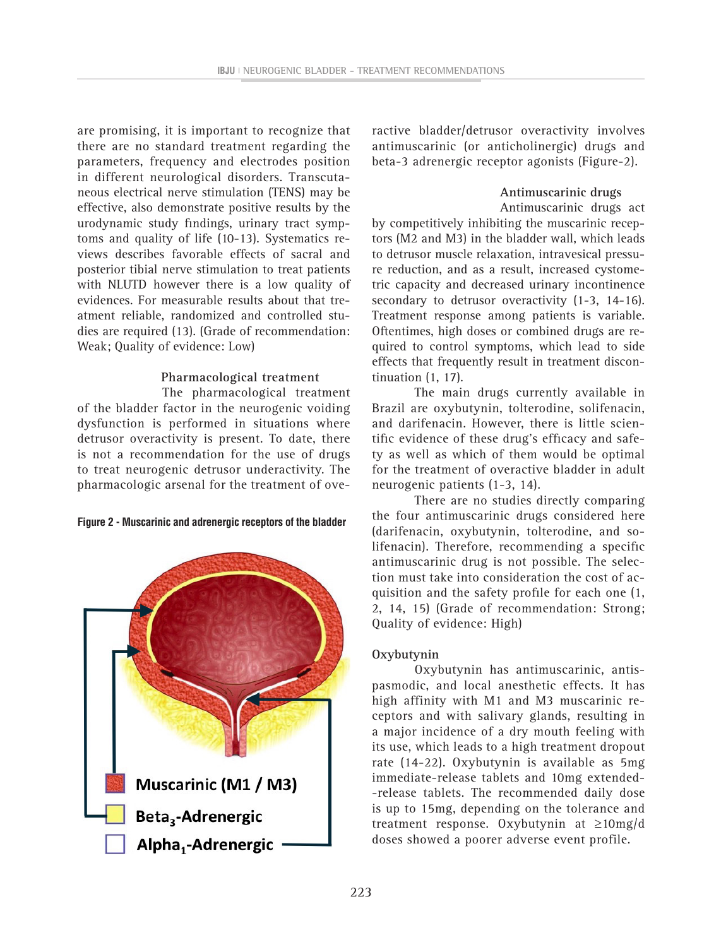are promising, it is important to recognize that there are no standard treatment regarding the parameters, frequency and electrodes position in different neurological disorders. Transcutaneous electrical nerve stimulation (TENS) may be effective, also demonstrate positive results by the urodynamic study findings, urinary tract symptoms and quality of life (10-13). Systematics reviews describes favorable effects of sacral and posterior tibial nerve stimulation to treat patients with NLUTD however there is a low quality of evidences. For measurable results about that treatment reliable, randomized and controlled studies are required (13). (Grade of recommendation: Weak; Quality of evidence: Low)

#### **Pharmacological treatment**

 The pharmacological treatment of the bladder factor in the neurogenic voiding dysfunction is performed in situations where detrusor overactivity is present. To date, there is not a recommendation for the use of drugs to treat neurogenic detrusor underactivity. The pharmacologic arsenal for the treatment of ove-





ractive bladder/detrusor overactivity involves antimuscarinic (or anticholinergic) drugs and beta-3 adrenergic receptor agonists (Figure-2).

#### **Antimuscarinic drugs**

 Antimuscarinic drugs act by competitively inhibiting the muscarinic receptors (M2 and M3) in the bladder wall, which leads to detrusor muscle relaxation, intravesical pressure reduction, and as a result, increased cystometric capacity and decreased urinary incontinence secondary to detrusor overactivity (1-3, 14-16). Treatment response among patients is variable. Oftentimes, high doses or combined drugs are required to control symptoms, which lead to side effects that frequently result in treatment discontinuation (1, 17).

The main drugs currently available in Brazil are oxybutynin, tolterodine, solifenacin, and darifenacin. However, there is little scientific evidence of these drug's efficacy and safety as well as which of them would be optimal for the treatment of overactive bladder in adult neurogenic patients (1-3, 14).

There are no studies directly comparing the four antimuscarinic drugs considered here (darifenacin, oxybutynin, tolterodine, and solifenacin). Therefore, recommending a specific antimuscarinic drug is not possible. The selection must take into consideration the cost of acquisition and the safety profile for each one (1, 2, 14, 15) (Grade of recommendation: Strong; Quality of evidence: High)

#### **Oxybutynin**

Oxybutynin has antimuscarinic, antispasmodic, and local anesthetic effects. It has high affinity with M1 and M3 muscarinic receptors and with salivary glands, resulting in a major incidence of a dry mouth feeling with its use, which leads to a high treatment dropout rate (14-22). Oxybutynin is available as 5mg immediate-release tablets and 10mg extended- -release tablets. The recommended daily dose is up to 15mg, depending on the tolerance and treatment response. Oxybutynin at ≥10mg/d doses showed a poorer adverse event profile.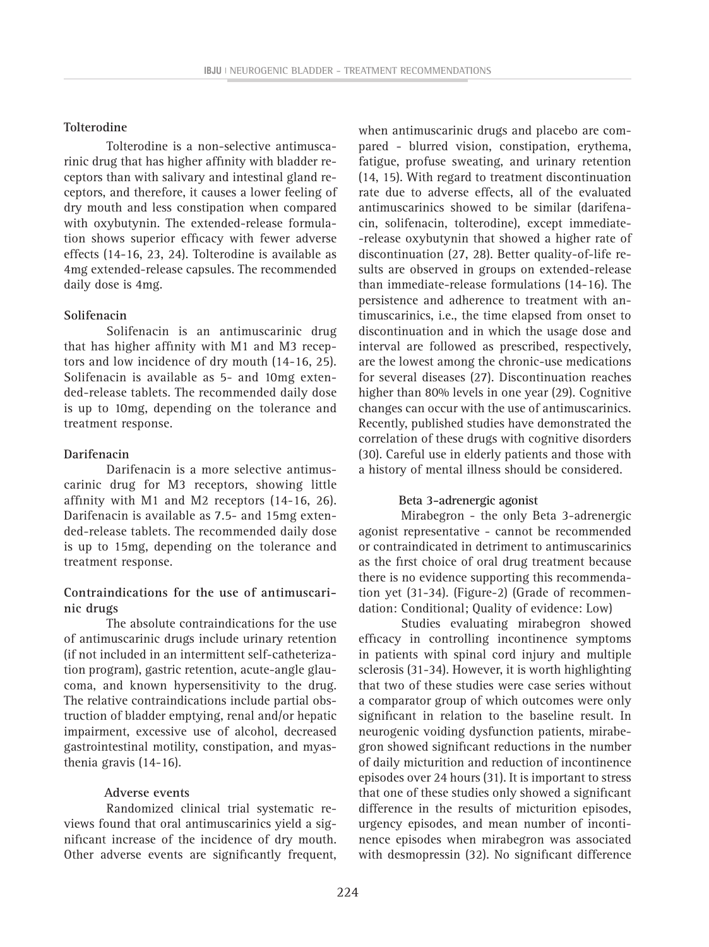#### **Tolterodine**

Tolterodine is a non-selective antimuscarinic drug that has higher affinity with bladder receptors than with salivary and intestinal gland receptors, and therefore, it causes a lower feeling of dry mouth and less constipation when compared with oxybutynin. The extended-release formulation shows superior efficacy with fewer adverse effects (14-16, 23, 24). Tolterodine is available as 4mg extended-release capsules. The recommended daily dose is 4mg.

#### **Solifenacin**

Solifenacin is an antimuscarinic drug that has higher affinity with M1 and M3 receptors and low incidence of dry mouth (14-16, 25). Solifenacin is available as 5- and 10mg extended-release tablets. The recommended daily dose is up to 10mg, depending on the tolerance and treatment response.

#### **Darifenacin**

Darifenacin is a more selective antimuscarinic drug for M3 receptors, showing little affinity with M1 and M2 receptors (14-16, 26). Darifenacin is available as 7.5- and 15mg extended-release tablets. The recommended daily dose is up to 15mg, depending on the tolerance and treatment response.

### **Contraindications for the use of antimuscarinic drugs**

The absolute contraindications for the use of antimuscarinic drugs include urinary retention (if not included in an intermittent self-catheterization program), gastric retention, acute-angle glaucoma, and known hypersensitivity to the drug. The relative contraindications include partial obstruction of bladder emptying, renal and/or hepatic impairment, excessive use of alcohol, decreased gastrointestinal motility, constipation, and myasthenia gravis (14-16).

#### **Adverse events**

Randomized clinical trial systematic reviews found that oral antimuscarinics yield a significant increase of the incidence of dry mouth. Other adverse events are significantly frequent,

when antimuscarinic drugs and placebo are compared - blurred vision, constipation, erythema, fatigue, profuse sweating, and urinary retention (14, 15). With regard to treatment discontinuation rate due to adverse effects, all of the evaluated antimuscarinics showed to be similar (darifenacin, solifenacin, tolterodine), except immediate- -release oxybutynin that showed a higher rate of discontinuation (27, 28). Better quality-of-life results are observed in groups on extended-release than immediate-release formulations (14-16). The persistence and adherence to treatment with antimuscarinics, i.e., the time elapsed from onset to discontinuation and in which the usage dose and interval are followed as prescribed, respectively, are the lowest among the chronic-use medications for several diseases (27). Discontinuation reaches higher than 80% levels in one year (29). Cognitive changes can occur with the use of antimuscarinics. Recently, published studies have demonstrated the correlation of these drugs with cognitive disorders (30). Careful use in elderly patients and those with a history of mental illness should be considered.

#### **Beta 3-adrenergic agonist**

Mirabegron - the only Beta 3-adrenergic agonist representative - cannot be recommended or contraindicated in detriment to antimuscarinics as the first choice of oral drug treatment because there is no evidence supporting this recommendation yet (31-34). (Figure-2) (Grade of recommendation: Conditional; Quality of evidence: Low)

Studies evaluating mirabegron showed efficacy in controlling incontinence symptoms in patients with spinal cord injury and multiple sclerosis (31-34). However, it is worth highlighting that two of these studies were case series without a comparator group of which outcomes were only significant in relation to the baseline result. In neurogenic voiding dysfunction patients, mirabegron showed significant reductions in the number of daily micturition and reduction of incontinence episodes over 24 hours (31). It is important to stress that one of these studies only showed a significant difference in the results of micturition episodes, urgency episodes, and mean number of incontinence episodes when mirabegron was associated with desmopressin (32). No significant difference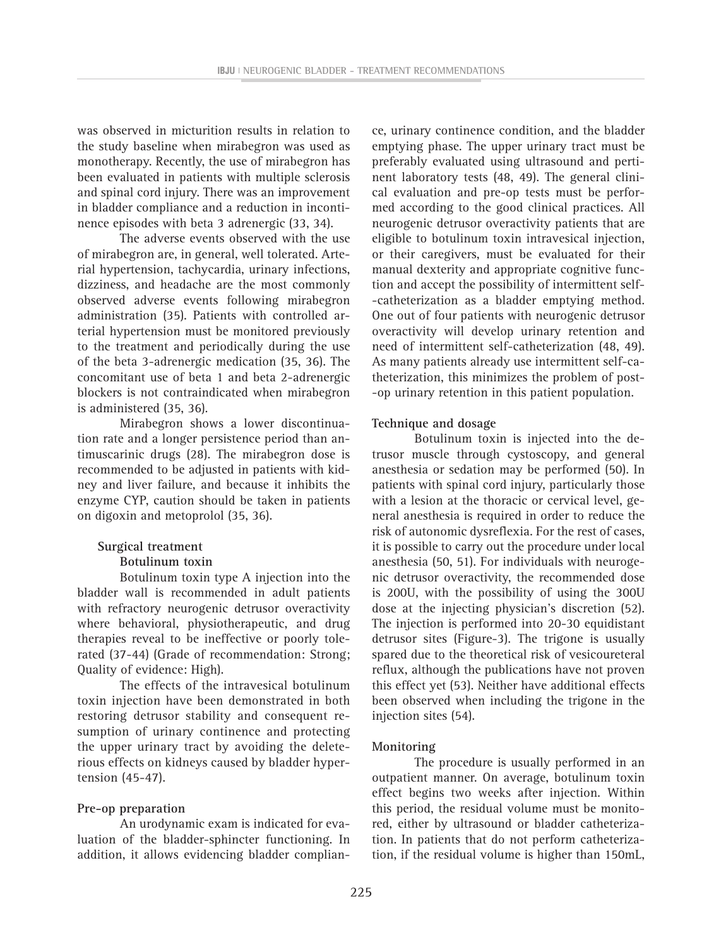was observed in micturition results in relation to the study baseline when mirabegron was used as monotherapy. Recently, the use of mirabegron has been evaluated in patients with multiple sclerosis and spinal cord injury. There was an improvement in bladder compliance and a reduction in incontinence episodes with beta 3 adrenergic (33, 34).

The adverse events observed with the use of mirabegron are, in general, well tolerated. Arterial hypertension, tachycardia, urinary infections, dizziness, and headache are the most commonly observed adverse events following mirabegron administration (35). Patients with controlled arterial hypertension must be monitored previously to the treatment and periodically during the use of the beta 3-adrenergic medication (35, 36). The concomitant use of beta 1 and beta 2-adrenergic blockers is not contraindicated when mirabegron is administered (35, 36).

Mirabegron shows a lower discontinuation rate and a longer persistence period than antimuscarinic drugs (28). The mirabegron dose is recommended to be adjusted in patients with kidney and liver failure, and because it inhibits the enzyme CYP, caution should be taken in patients on digoxin and metoprolol (35, 36).

# **Surgical treatment**

## **Botulinum toxin**

Botulinum toxin type A injection into the bladder wall is recommended in adult patients with refractory neurogenic detrusor overactivity where behavioral, physiotherapeutic, and drug therapies reveal to be ineffective or poorly tolerated (37-44) (Grade of recommendation: Strong; Quality of evidence: High).

The effects of the intravesical botulinum toxin injection have been demonstrated in both restoring detrusor stability and consequent resumption of urinary continence and protecting the upper urinary tract by avoiding the deleterious effects on kidneys caused by bladder hypertension (45-47).

#### **Pre-op preparation**

An urodynamic exam is indicated for evaluation of the bladder-sphincter functioning. In addition, it allows evidencing bladder complian-

ce, urinary continence condition, and the bladder emptying phase. The upper urinary tract must be preferably evaluated using ultrasound and pertinent laboratory tests (48, 49). The general clinical evaluation and pre-op tests must be performed according to the good clinical practices. All neurogenic detrusor overactivity patients that are eligible to botulinum toxin intravesical injection, or their caregivers, must be evaluated for their manual dexterity and appropriate cognitive function and accept the possibility of intermittent self- -catheterization as a bladder emptying method. One out of four patients with neurogenic detrusor overactivity will develop urinary retention and need of intermittent self-catheterization (48, 49). As many patients already use intermittent self-catheterization, this minimizes the problem of post- -op urinary retention in this patient population.

### **Technique and dosage**

Botulinum toxin is injected into the detrusor muscle through cystoscopy, and general anesthesia or sedation may be performed (50). In patients with spinal cord injury, particularly those with a lesion at the thoracic or cervical level, general anesthesia is required in order to reduce the risk of autonomic dysreflexia. For the rest of cases, it is possible to carry out the procedure under local anesthesia (50, 51). For individuals with neurogenic detrusor overactivity, the recommended dose is 200U, with the possibility of using the 300U dose at the injecting physician's discretion (52). The injection is performed into 20-30 equidistant detrusor sites (Figure-3). The trigone is usually spared due to the theoretical risk of vesicoureteral reflux, although the publications have not proven this effect yet (53). Neither have additional effects been observed when including the trigone in the injection sites (54).

### **Monitoring**

The procedure is usually performed in an outpatient manner. On average, botulinum toxin effect begins two weeks after injection. Within this period, the residual volume must be monitored, either by ultrasound or bladder catheterization. In patients that do not perform catheterization, if the residual volume is higher than 150mL,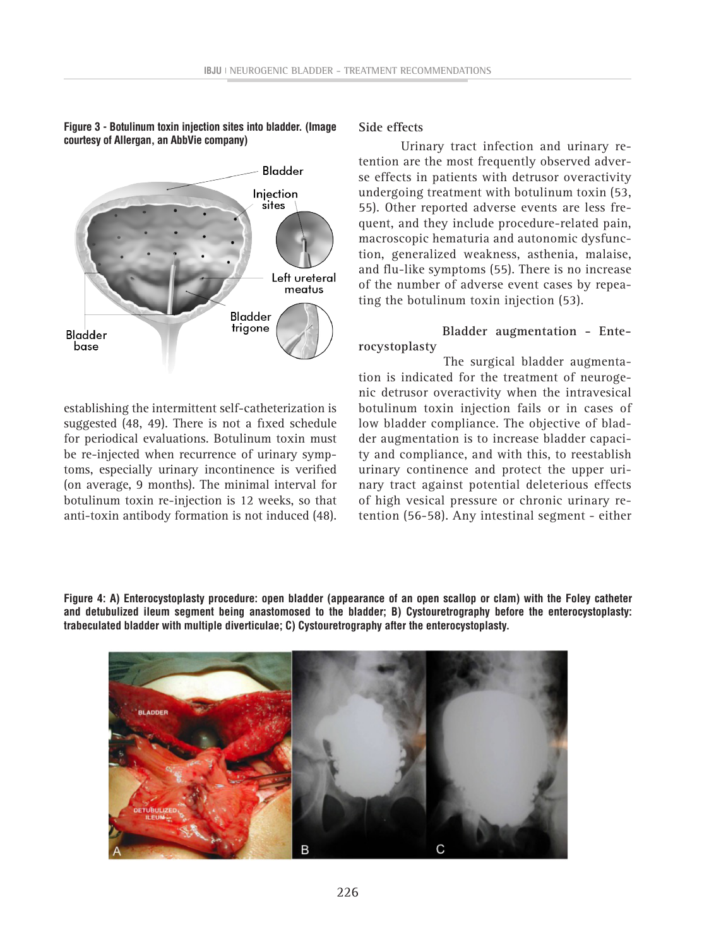**Figure 3 - Botulinum toxin injection sites into bladder. (Image courtesy of Allergan, an AbbVie company)**



establishing the intermittent self-catheterization is suggested (48, 49). There is not a fixed schedule for periodical evaluations. Botulinum toxin must be re-injected when recurrence of urinary symptoms, especially urinary incontinence is verified (on average, 9 months). The minimal interval for botulinum toxin re-injection is 12 weeks, so that anti-toxin antibody formation is not induced (48).

### **Side effects**

Urinary tract infection and urinary retention are the most frequently observed adverse effects in patients with detrusor overactivity undergoing treatment with botulinum toxin (53, 55). Other reported adverse events are less frequent, and they include procedure-related pain, macroscopic hematuria and autonomic dysfunction, generalized weakness, asthenia, malaise, and flu-like symptoms (55). There is no increase of the number of adverse event cases by repeating the botulinum toxin injection (53).

### **Bladder augmentation - Enterocystoplasty**

 The surgical bladder augmentation is indicated for the treatment of neurogenic detrusor overactivity when the intravesical botulinum toxin injection fails or in cases of low bladder compliance. The objective of bladder augmentation is to increase bladder capacity and compliance, and with this, to reestablish urinary continence and protect the upper urinary tract against potential deleterious effects of high vesical pressure or chronic urinary retention (56-58). Any intestinal segment - either

**Figure 4: A) Enterocystoplasty procedure: open bladder (appearance of an open scallop or clam) with the Foley catheter and detubulized ileum segment being anastomosed to the bladder; B) Cystouretrography before the enterocystoplasty: trabeculated bladder with multiple diverticulae; C) Cystouretrography after the enterocystoplasty.**

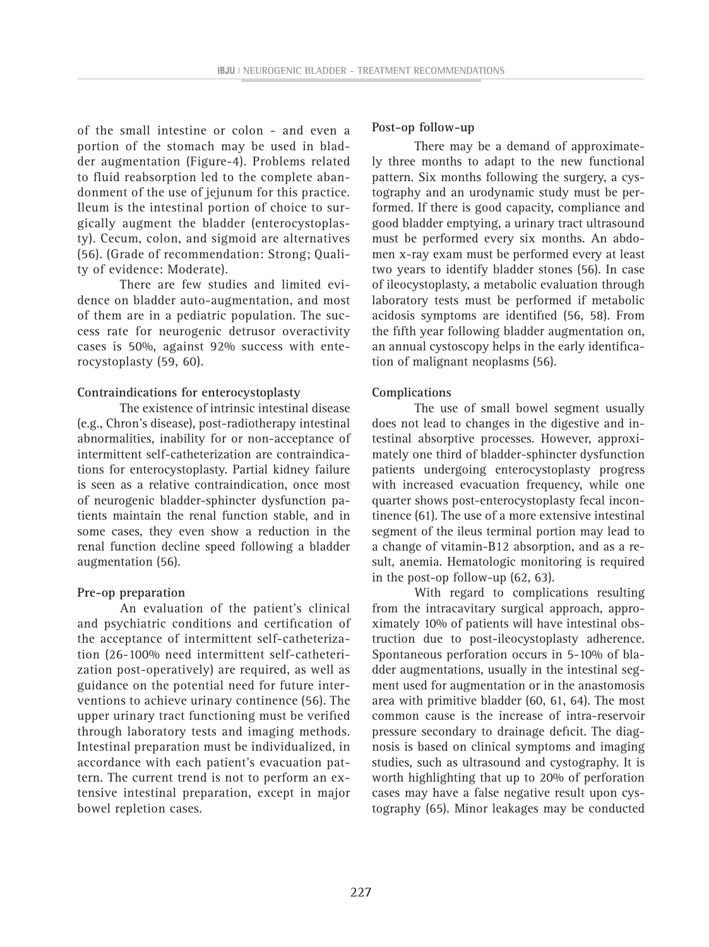of the small intestine or colon - and even a portion of the stomach may be used in bladder augmentation (Figure-4). Problems related to fluid reabsorption led to the complete abandonment of the use of jejunum for this practice. Ileum is the intestinal portion of choice to surgically augment the bladder (enterocystoplasty). Cecum, colon, and sigmoid are alternatives (56). (Grade of recommendation: Strong; Quality of evidence: Moderate).

There are few studies and limited evidence on bladder auto-augmentation, and most of them are in a pediatric population. The success rate for neurogenic detrusor overactivity cases is 50%, against 92% success with enterocystoplasty (59, 60).

#### **Contraindications for enterocystoplasty**

The existence of intrinsic intestinal disease (e.g., Chron's disease), post-radiotherapy intestinal abnormalities, inability for or non-acceptance of intermittent self-catheterization are contraindications for enterocystoplasty. Partial kidney failure is seen as a relative contraindication, once most of neurogenic bladder-sphincter dysfunction patients maintain the renal function stable, and in some cases, they even show a reduction in the renal function decline speed following a bladder augmentation (56).

#### **Pre-op preparation**

An evaluation of the patient's clinical and psychiatric conditions and certification of the acceptance of intermittent self-catheterization (26-100% need intermittent self-catheterization post-operatively) are required, as well as guidance on the potential need for future interventions to achieve urinary continence (56). The upper urinary tract functioning must be verified through laboratory tests and imaging methods. Intestinal preparation must be individualized, in accordance with each patient's evacuation pattern. The current trend is not to perform an extensive intestinal preparation, except in major bowel repletion cases.

#### **Post-op follow-up**

There may be a demand of approximately three months to adapt to the new functional pattern. Six months following the surgery, a cystography and an urodynamic study must be performed. If there is good capacity, compliance and good bladder emptying, a urinary tract ultrasound must be performed every six months. An abdomen x-ray exam must be performed every at least two years to identify bladder stones (56). In case of ileocystoplasty, a metabolic evaluation through laboratory tests must be performed if metabolic acidosis symptoms are identified (56, 58). From the fifth year following bladder augmentation on, an annual cystoscopy helps in the early identification of malignant neoplasms (56).

#### **Complications**

The use of small bowel segment usually does not lead to changes in the digestive and intestinal absorptive processes. However, approximately one third of bladder-sphincter dysfunction patients undergoing enterocystoplasty progress with increased evacuation frequency, while one quarter shows post-enterocystoplasty fecal incontinence (61). The use of a more extensive intestinal segment of the ileus terminal portion may lead to a change of vitamin-B12 absorption, and as a result, anemia. Hematologic monitoring is required in the post-op follow-up (62, 63).

With regard to complications resulting from the intracavitary surgical approach, approximately 10% of patients will have intestinal obstruction due to post-ileocystoplasty adherence. Spontaneous perforation occurs in 5-10% of bladder augmentations, usually in the intestinal segment used for augmentation or in the anastomosis area with primitive bladder (60, 61, 64). The most common cause is the increase of intra-reservoir pressure secondary to drainage deficit. The diagnosis is based on clinical symptoms and imaging studies, such as ultrasound and cystography. It is worth highlighting that up to 20% of perforation cases may have a false negative result upon cystography (65). Minor leakages may be conducted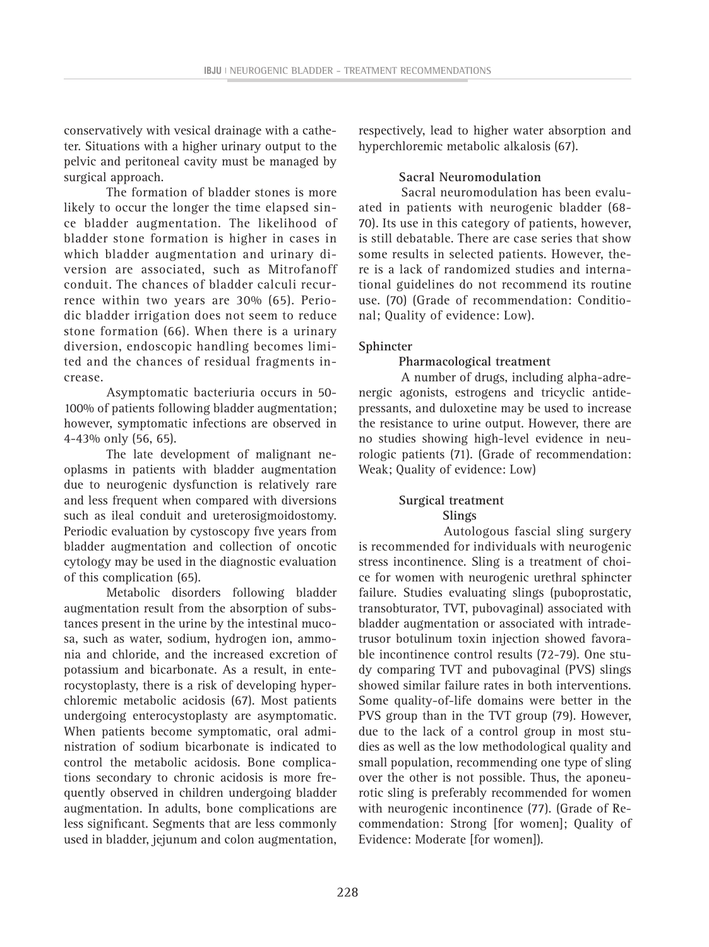conservatively with vesical drainage with a catheter. Situations with a higher urinary output to the pelvic and peritoneal cavity must be managed by surgical approach.

The formation of bladder stones is more likely to occur the longer the time elapsed since bladder augmentation. The likelihood of bladder stone formation is higher in cases in which bladder augmentation and urinary diversion are associated, such as Mitrofanoff conduit. The chances of bladder calculi recurrence within two years are 30% (65). Periodic bladder irrigation does not seem to reduce stone formation (66). When there is a urinary diversion, endoscopic handling becomes limited and the chances of residual fragments increase.

Asymptomatic bacteriuria occurs in 50- 100% of patients following bladder augmentation; however, symptomatic infections are observed in 4-43% only (56, 65).

The late development of malignant neoplasms in patients with bladder augmentation due to neurogenic dysfunction is relatively rare and less frequent when compared with diversions such as ileal conduit and ureterosigmoidostomy. Periodic evaluation by cystoscopy five years from bladder augmentation and collection of oncotic cytology may be used in the diagnostic evaluation of this complication (65).

Metabolic disorders following bladder augmentation result from the absorption of substances present in the urine by the intestinal mucosa, such as water, sodium, hydrogen ion, ammonia and chloride, and the increased excretion of potassium and bicarbonate. As a result, in enterocystoplasty, there is a risk of developing hyperchloremic metabolic acidosis (67). Most patients undergoing enterocystoplasty are asymptomatic. When patients become symptomatic, oral administration of sodium bicarbonate is indicated to control the metabolic acidosis. Bone complications secondary to chronic acidosis is more frequently observed in children undergoing bladder augmentation. In adults, bone complications are less significant. Segments that are less commonly used in bladder, jejunum and colon augmentation,

respectively, lead to higher water absorption and hyperchloremic metabolic alkalosis (67).

#### **Sacral Neuromodulation**

Sacral neuromodulation has been evaluated in patients with neurogenic bladder (68- 70). Its use in this category of patients, however, is still debatable. There are case series that show some results in selected patients. However, there is a lack of randomized studies and international guidelines do not recommend its routine use. (70) (Grade of recommendation: Conditional; Quality of evidence: Low).

#### **Sphincter**

#### **Pharmacological treatment**

A number of drugs, including alpha-adrenergic agonists, estrogens and tricyclic antidepressants, and duloxetine may be used to increase the resistance to urine output. However, there are no studies showing high-level evidence in neurologic patients (71). (Grade of recommendation: Weak; Quality of evidence: Low)

#### **Surgical treatment Slings**

 Autologous fascial sling surgery is recommended for individuals with neurogenic stress incontinence. Sling is a treatment of choice for women with neurogenic urethral sphincter failure. Studies evaluating slings (puboprostatic, transobturator, TVT, pubovaginal) associated with bladder augmentation or associated with intradetrusor botulinum toxin injection showed favorable incontinence control results (72-79). One study comparing TVT and pubovaginal (PVS) slings showed similar failure rates in both interventions. Some quality-of-life domains were better in the PVS group than in the TVT group (79). However, due to the lack of a control group in most studies as well as the low methodological quality and small population, recommending one type of sling over the other is not possible. Thus, the aponeurotic sling is preferably recommended for women with neurogenic incontinence (77). (Grade of Recommendation: Strong [for women]; Quality of Evidence: Moderate [for women]).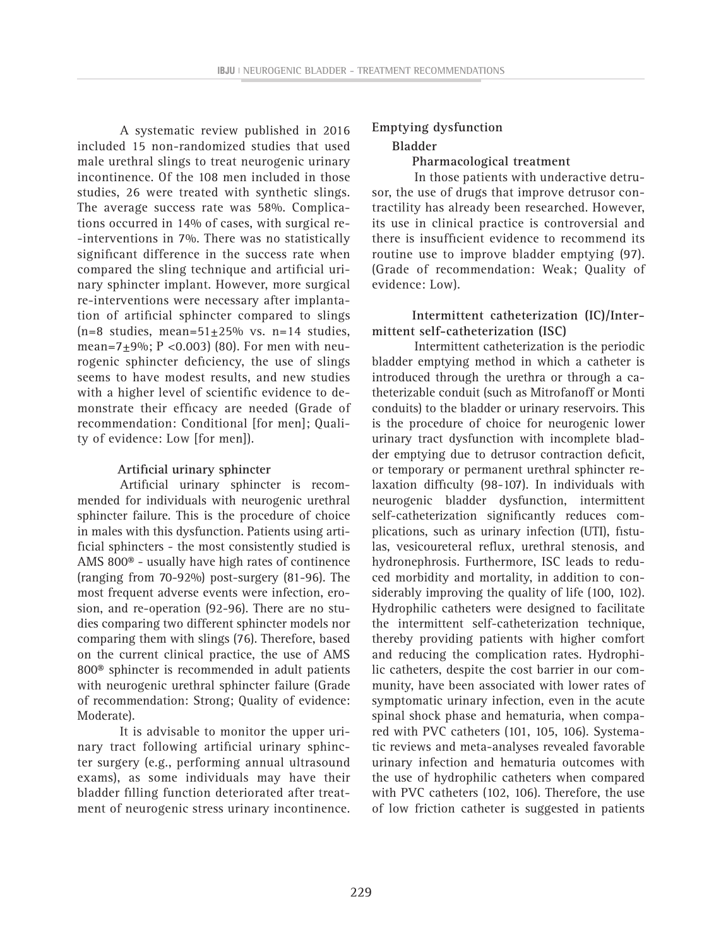A systematic review published in 2016 included 15 non-randomized studies that used male urethral slings to treat neurogenic urinary incontinence. Of the 108 men included in those studies, 26 were treated with synthetic slings. The average success rate was 58%. Complications occurred in 14% of cases, with surgical re- -interventions in 7%. There was no statistically significant difference in the success rate when compared the sling technique and artificial urinary sphincter implant. However, more surgical re-interventions were necessary after implantation of artificial sphincter compared to slings  $(n=8$  studies, mean=51+25% vs. n=14 studies, mean=7 $\pm$ 9%; P <0.003) (80). For men with neurogenic sphincter deficiency, the use of slings seems to have modest results, and new studies with a higher level of scientific evidence to demonstrate their efficacy are needed (Grade of recommendation: Conditional [for men]; Quality of evidence: Low [for men]).

#### **Artificial urinary sphincter**

Artificial urinary sphincter is recommended for individuals with neurogenic urethral sphincter failure. This is the procedure of choice in males with this dysfunction. Patients using artificial sphincters - the most consistently studied is AMS 800® - usually have high rates of continence (ranging from 70-92%) post-surgery (81-96). The most frequent adverse events were infection, erosion, and re-operation (92-96). There are no studies comparing two different sphincter models nor comparing them with slings (76). Therefore, based on the current clinical practice, the use of AMS 800® sphincter is recommended in adult patients with neurogenic urethral sphincter failure (Grade of recommendation: Strong; Quality of evidence: Moderate).

It is advisable to monitor the upper urinary tract following artificial urinary sphincter surgery (e.g., performing annual ultrasound exams), as some individuals may have their bladder filling function deteriorated after treatment of neurogenic stress urinary incontinence.

### **Emptying dysfunction Bladder**

**Pharmacological treatment**

In those patients with underactive detrusor, the use of drugs that improve detrusor contractility has already been researched. However, its use in clinical practice is controversial and there is insufficient evidence to recommend its routine use to improve bladder emptying (97). (Grade of recommendation: Weak; Quality of evidence: Low).

### **Intermittent catheterization (IC)/Intermittent self-catheterization (ISC)**

Intermittent catheterization is the periodic bladder emptying method in which a catheter is introduced through the urethra or through a catheterizable conduit (such as Mitrofanoff or Monti conduits) to the bladder or urinary reservoirs. This is the procedure of choice for neurogenic lower urinary tract dysfunction with incomplete bladder emptying due to detrusor contraction deficit, or temporary or permanent urethral sphincter relaxation difficulty (98-107). In individuals with neurogenic bladder dysfunction, intermittent self-catheterization significantly reduces complications, such as urinary infection (UTI), fistulas, vesicoureteral reflux, urethral stenosis, and hydronephrosis. Furthermore, ISC leads to reduced morbidity and mortality, in addition to considerably improving the quality of life (100, 102). Hydrophilic catheters were designed to facilitate the intermittent self-catheterization technique, thereby providing patients with higher comfort and reducing the complication rates. Hydrophilic catheters, despite the cost barrier in our community, have been associated with lower rates of symptomatic urinary infection, even in the acute spinal shock phase and hematuria, when compared with PVC catheters (101, 105, 106). Systematic reviews and meta-analyses revealed favorable urinary infection and hematuria outcomes with the use of hydrophilic catheters when compared with PVC catheters (102, 106). Therefore, the use of low friction catheter is suggested in patients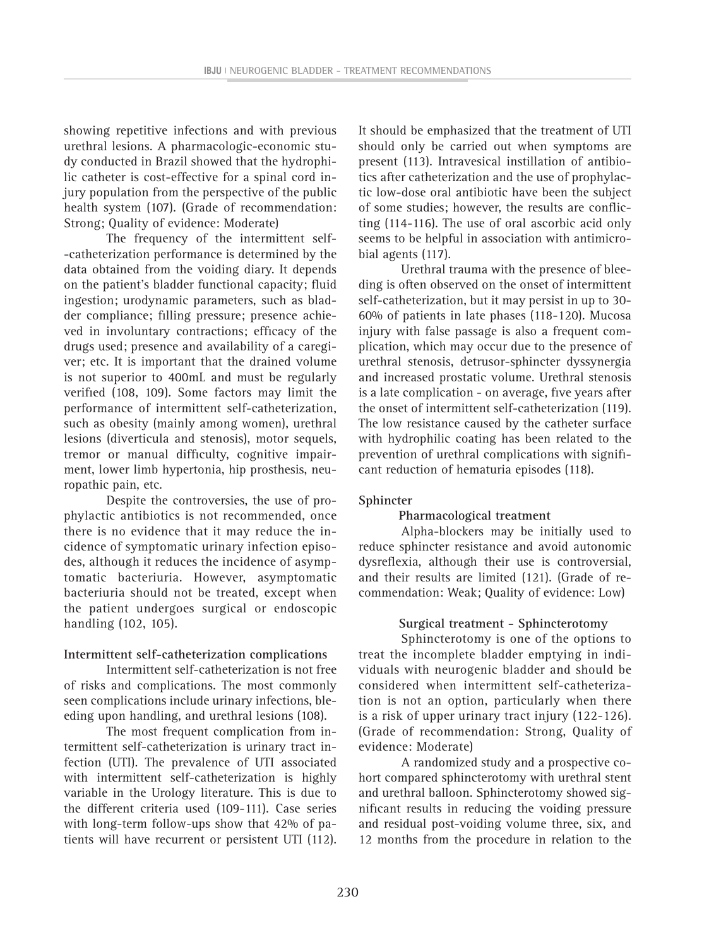showing repetitive infections and with previous urethral lesions. A pharmacologic-economic study conducted in Brazil showed that the hydrophilic catheter is cost-effective for a spinal cord injury population from the perspective of the public health system (107). (Grade of recommendation: Strong; Quality of evidence: Moderate)

The frequency of the intermittent self- -catheterization performance is determined by the data obtained from the voiding diary. It depends on the patient's bladder functional capacity; fluid ingestion; urodynamic parameters, such as bladder compliance; filling pressure; presence achieved in involuntary contractions; efficacy of the drugs used; presence and availability of a caregiver; etc. It is important that the drained volume is not superior to 400mL and must be regularly verified (108, 109). Some factors may limit the performance of intermittent self-catheterization, such as obesity (mainly among women), urethral lesions (diverticula and stenosis), motor sequels, tremor or manual difficulty, cognitive impairment, lower limb hypertonia, hip prosthesis, neuropathic pain, etc.

Despite the controversies, the use of prophylactic antibiotics is not recommended, once there is no evidence that it may reduce the incidence of symptomatic urinary infection episodes, although it reduces the incidence of asymptomatic bacteriuria. However, asymptomatic bacteriuria should not be treated, except when the patient undergoes surgical or endoscopic handling (102, 105).

#### **Intermittent self-catheterization complications**

Intermittent self-catheterization is not free of risks and complications. The most commonly seen complications include urinary infections, bleeding upon handling, and urethral lesions (108).

The most frequent complication from intermittent self-catheterization is urinary tract infection (UTI). The prevalence of UTI associated with intermittent self-catheterization is highly variable in the Urology literature. This is due to the different criteria used (109-111). Case series with long-term follow-ups show that 42% of patients will have recurrent or persistent UTI (112). It should be emphasized that the treatment of UTI should only be carried out when symptoms are present (113). Intravesical instillation of antibiotics after catheterization and the use of prophylactic low-dose oral antibiotic have been the subject of some studies; however, the results are conflicting (114-116). The use of oral ascorbic acid only seems to be helpful in association with antimicrobial agents (117).

Urethral trauma with the presence of bleeding is often observed on the onset of intermittent self-catheterization, but it may persist in up to 30- 60% of patients in late phases (118-120). Mucosa injury with false passage is also a frequent complication, which may occur due to the presence of urethral stenosis, detrusor-sphincter dyssynergia and increased prostatic volume. Urethral stenosis is a late complication - on average, five years after the onset of intermittent self-catheterization (119). The low resistance caused by the catheter surface with hydrophilic coating has been related to the prevention of urethral complications with significant reduction of hematuria episodes (118).

#### **Sphincter**

#### **Pharmacological treatment**

Alpha-blockers may be initially used to reduce sphincter resistance and avoid autonomic dysreflexia, although their use is controversial, and their results are limited (121). (Grade of recommendation: Weak; Quality of evidence: Low)

#### **Surgical treatment - Sphincterotomy**

Sphincterotomy is one of the options to treat the incomplete bladder emptying in individuals with neurogenic bladder and should be considered when intermittent self-catheterization is not an option, particularly when there is a risk of upper urinary tract injury (122-126). (Grade of recommendation: Strong, Quality of evidence: Moderate)

A randomized study and a prospective cohort compared sphincterotomy with urethral stent and urethral balloon. Sphincterotomy showed significant results in reducing the voiding pressure and residual post-voiding volume three, six, and 12 months from the procedure in relation to the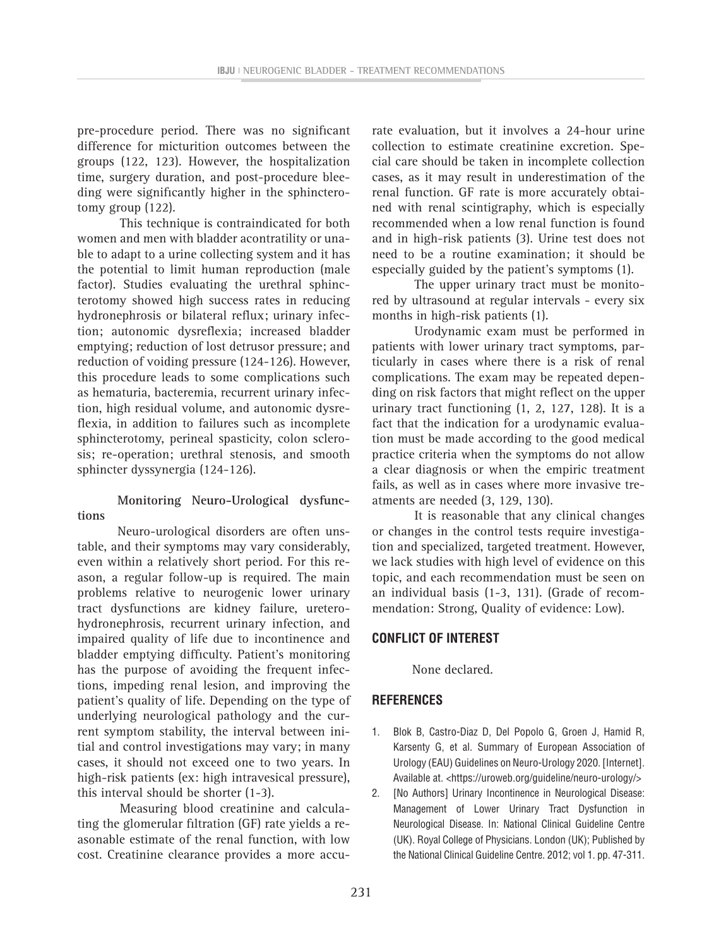pre-procedure period. There was no significant difference for micturition outcomes between the groups (122, 123). However, the hospitalization time, surgery duration, and post-procedure bleeding were significantly higher in the sphincterotomy group (122).

This technique is contraindicated for both women and men with bladder acontratility or unable to adapt to a urine collecting system and it has the potential to limit human reproduction (male factor). Studies evaluating the urethral sphincterotomy showed high success rates in reducing hydronephrosis or bilateral reflux; urinary infection; autonomic dysreflexia; increased bladder emptying; reduction of lost detrusor pressure; and reduction of voiding pressure (124-126). However, this procedure leads to some complications such as hematuria, bacteremia, recurrent urinary infection, high residual volume, and autonomic dysreflexia, in addition to failures such as incomplete sphincterotomy, perineal spasticity, colon sclerosis; re-operation; urethral stenosis, and smooth sphincter dyssynergia (124-126).

#### **Monitoring Neuro-Urological dysfunctions**

Neuro-urological disorders are often unstable, and their symptoms may vary considerably, even within a relatively short period. For this reason, a regular follow-up is required. The main problems relative to neurogenic lower urinary tract dysfunctions are kidney failure, ureterohydronephrosis, recurrent urinary infection, and impaired quality of life due to incontinence and bladder emptying difficulty. Patient's monitoring has the purpose of avoiding the frequent infections, impeding renal lesion, and improving the patient's quality of life. Depending on the type of underlying neurological pathology and the current symptom stability, the interval between initial and control investigations may vary; in many cases, it should not exceed one to two years. In high-risk patients (ex: high intravesical pressure), this interval should be shorter (1-3).

Measuring blood creatinine and calculating the glomerular filtration (GF) rate yields a reasonable estimate of the renal function, with low cost. Creatinine clearance provides a more accurate evaluation, but it involves a 24-hour urine collection to estimate creatinine excretion. Special care should be taken in incomplete collection cases, as it may result in underestimation of the renal function. GF rate is more accurately obtained with renal scintigraphy, which is especially recommended when a low renal function is found and in high-risk patients (3). Urine test does not need to be a routine examination; it should be especially guided by the patient's symptoms (1).

The upper urinary tract must be monitored by ultrasound at regular intervals - every six months in high-risk patients (1).

Urodynamic exam must be performed in patients with lower urinary tract symptoms, particularly in cases where there is a risk of renal complications. The exam may be repeated depending on risk factors that might reflect on the upper urinary tract functioning (1, 2, 127, 128). It is a fact that the indication for a urodynamic evaluation must be made according to the good medical practice criteria when the symptoms do not allow a clear diagnosis or when the empiric treatment fails, as well as in cases where more invasive treatments are needed (3, 129, 130).

It is reasonable that any clinical changes or changes in the control tests require investigation and specialized, targeted treatment. However, we lack studies with high level of evidence on this topic, and each recommendation must be seen on an individual basis (1-3, 131). (Grade of recommendation: Strong, Quality of evidence: Low).

### **CONFLICT OF INTEREST**

None declared.

## **REFERENCES**

- 1. Blok B, Castro-Diaz D, Del Popolo G, Groen J, Hamid R, Karsenty G, et al. Summary of European Association of Urology (EAU) Guidelines on Neuro-Urology 2020. [Internet]. Available at. <https://uroweb.org/guideline/neuro-urology/>
- 2. **[No Authors] Urinary Incontinence in Neurological Disease:** Management of Lower Urinary Tract Dysfunction in Neurological Disease. In: National Clinical Guideline Centre (UK). Royal College of Physicians. London (UK); Published by the National Clinical Guideline Centre. 2012; vol 1. pp. 47-311.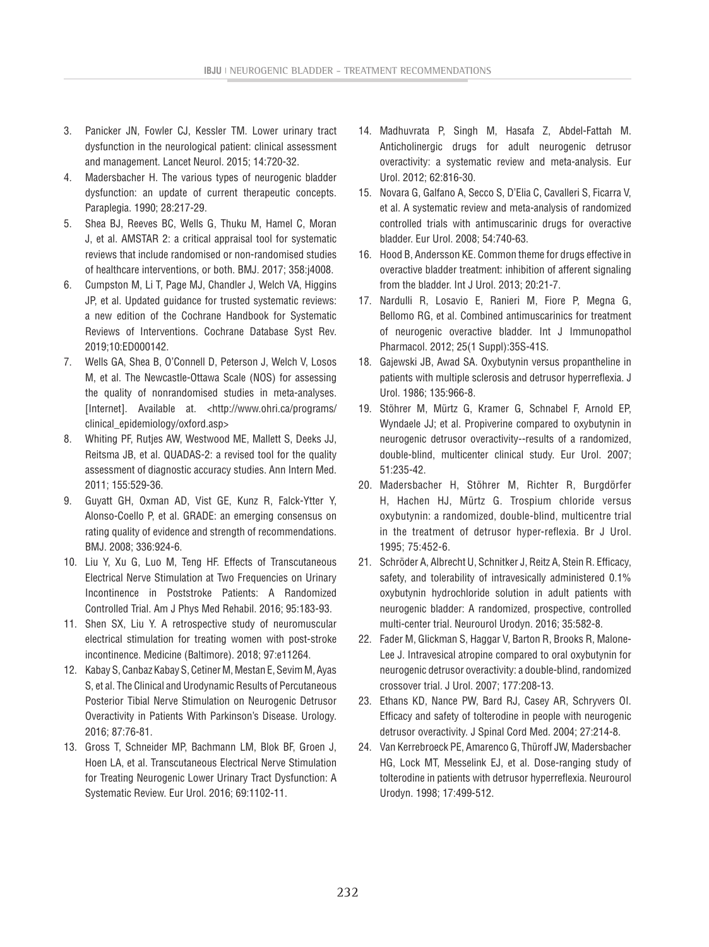- 3. Panicker JN, Fowler CJ, Kessler TM. Lower urinary tract dysfunction in the neurological patient: clinical assessment and management. Lancet Neurol. 2015; 14:720-32.
- 4. Madersbacher H. The various types of neurogenic bladder dysfunction: an update of current therapeutic concepts. Paraplegia. 1990; 28:217-29.
- 5. Shea BJ, Reeves BC, Wells G, Thuku M, Hamel C, Moran J, et al. AMSTAR 2: a critical appraisal tool for systematic reviews that include randomised or non-randomised studies of healthcare interventions, or both. BMJ. 2017; 358:j4008.
- 6. Cumpston M, Li T, Page MJ, Chandler J, Welch VA, Higgins JP, et al. Updated guidance for trusted systematic reviews: a new edition of the Cochrane Handbook for Systematic Reviews of Interventions. Cochrane Database Syst Rev. 2019;10:ED000142.
- 7. Wells GA, Shea B, O'Connell D, Peterson J, Welch V, Losos M, et al. The Newcastle-Ottawa Scale (NOS) for assessing the quality of nonrandomised studies in meta-analyses. [Internet]. Available at. <http://www.ohri.ca/programs/ clinical\_epidemiology/oxford.asp>
- 8. Whiting PF, Rutjes AW, Westwood ME, Mallett S, Deeks JJ, Reitsma JB, et al. QUADAS-2: a revised tool for the quality assessment of diagnostic accuracy studies. Ann Intern Med. 2011; 155:529-36.
- 9. Guyatt GH, Oxman AD, Vist GE, Kunz R, Falck-Ytter Y, Alonso-Coello P, et al. GRADE: an emerging consensus on rating quality of evidence and strength of recommendations. BMJ. 2008; 336:924-6.
- 10. Liu Y, Xu G, Luo M, Teng HF. Effects of Transcutaneous Electrical Nerve Stimulation at Two Frequencies on Urinary Incontinence in Poststroke Patients: A Randomized Controlled Trial. Am J Phys Med Rehabil. 2016; 95:183-93.
- 11. Shen SX, Liu Y. A retrospective study of neuromuscular electrical stimulation for treating women with post-stroke incontinence. Medicine (Baltimore). 2018; 97:e11264.
- 12. Kabay S, Canbaz Kabay S, Cetiner M, Mestan E, Sevim M, Ayas S, et al. The Clinical and Urodynamic Results of Percutaneous Posterior Tibial Nerve Stimulation on Neurogenic Detrusor Overactivity in Patients With Parkinson's Disease. Urology. 2016; 87:76-81.
- 13. Gross T, Schneider MP, Bachmann LM, Blok BF, Groen J, Hoen LA, et al. Transcutaneous Electrical Nerve Stimulation for Treating Neurogenic Lower Urinary Tract Dysfunction: A Systematic Review. Eur Urol. 2016; 69:1102-11.
- 14. Madhuvrata P, Singh M, Hasafa Z, Abdel-Fattah M. Anticholinergic drugs for adult neurogenic detrusor overactivity: a systematic review and meta-analysis. Eur Urol. 2012; 62:816-30.
- 15. Novara G, Galfano A, Secco S, D'Elia C, Cavalleri S, Ficarra V, et al. A systematic review and meta-analysis of randomized controlled trials with antimuscarinic drugs for overactive bladder. Eur Urol. 2008; 54:740-63.
- 16. Hood B, Andersson KE. Common theme for drugs effective in overactive bladder treatment: inhibition of afferent signaling from the bladder. Int J Urol. 2013; 20:21-7.
- 17. Nardulli R, Losavio E, Ranieri M, Fiore P, Megna G, Bellomo RG, et al. Combined antimuscarinics for treatment of neurogenic overactive bladder. Int J Immunopathol Pharmacol. 2012; 25(1 Suppl):35S-41S.
- 18. Gajewski JB, Awad SA. Oxybutynin versus propantheline in patients with multiple sclerosis and detrusor hyperreflexia. J Urol. 1986; 135:966-8.
- 19. Stöhrer M, Mürtz G, Kramer G, Schnabel F, Arnold EP, Wyndaele JJ; et al. Propiverine compared to oxybutynin in neurogenic detrusor overactivity--results of a randomized, double-blind, multicenter clinical study. Eur Urol. 2007; 51:235-42.
- 20. Madersbacher H, Stöhrer M, Richter R, Burgdörfer H, Hachen HJ, Mürtz G. Trospium chloride versus oxybutynin: a randomized, double-blind, multicentre trial in the treatment of detrusor hyper-reflexia. Br J Urol. 1995; 75:452-6.
- 21. Schröder A, Albrecht U, Schnitker J, Reitz A, Stein R. Efficacy, safety, and tolerability of intravesically administered 0.1% oxybutynin hydrochloride solution in adult patients with neurogenic bladder: A randomized, prospective, controlled multi-center trial. Neurourol Urodyn. 2016; 35:582-8.
- 22. Fader M, Glickman S, Haggar V, Barton R, Brooks R, Malone-Lee J. Intravesical atropine compared to oral oxybutynin for neurogenic detrusor overactivity: a double-blind, randomized crossover trial. J Urol. 2007; 177:208-13.
- 23. Ethans KD, Nance PW, Bard RJ, Casey AR, Schryvers OI. Efficacy and safety of tolterodine in people with neurogenic detrusor overactivity. J Spinal Cord Med. 2004; 27:214-8.
- 24. Van Kerrebroeck PE, Amarenco G, Thüroff JW, Madersbacher HG, Lock MT, Messelink EJ, et al. Dose-ranging study of tolterodine in patients with detrusor hyperreflexia. Neurourol Urodyn. 1998; 17:499-512.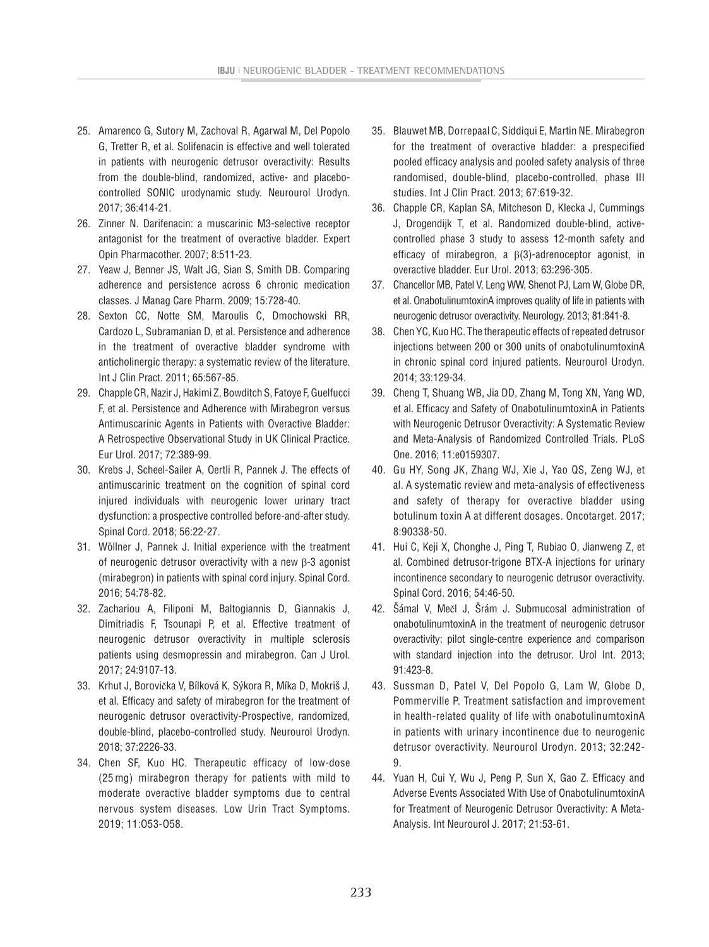- 25. Amarenco G, Sutory M, Zachoval R, Agarwal M, Del Popolo G, Tretter R, et al. Solifenacin is effective and well tolerated in patients with neurogenic detrusor overactivity: Results from the double-blind, randomized, active- and placebocontrolled SONIC urodynamic study. Neurourol Urodyn. 2017; 36:414-21.
- 26. Zinner N. Darifenacin: a muscarinic M3-selective receptor antagonist for the treatment of overactive bladder. Expert Opin Pharmacother. 2007; 8:511-23.
- 27. Yeaw J, Benner JS, Walt JG, Sian S, Smith DB. Comparing adherence and persistence across 6 chronic medication classes. J Manag Care Pharm. 2009; 15:728-40.
- 28. Sexton CC, Notte SM, Maroulis C, Dmochowski RR, Cardozo L, Subramanian D, et al. Persistence and adherence in the treatment of overactive bladder syndrome with anticholinergic therapy: a systematic review of the literature. Int J Clin Pract. 2011; 65:567-85.
- 29. Chapple CR, Nazir J, Hakimi Z, Bowditch S, Fatoye F, Guelfucci F, et al. Persistence and Adherence with Mirabegron versus Antimuscarinic Agents in Patients with Overactive Bladder: A Retrospective Observational Study in UK Clinical Practice. Eur Urol. 2017; 72:389-99.
- 30. Krebs J, Scheel-Sailer A, Oertli R, Pannek J. The effects of antimuscarinic treatment on the cognition of spinal cord injured individuals with neurogenic lower urinary tract dysfunction: a prospective controlled before-and-after study. Spinal Cord. 2018; 56:22-27.
- 31. Wöllner J, Pannek J. Initial experience with the treatment of neurogenic detrusor overactivity with a new β-3 agonist (mirabegron) in patients with spinal cord injury. Spinal Cord. 2016; 54:78-82.
- 32. Zachariou A, Filiponi M, Baltogiannis D, Giannakis J, Dimitriadis F, Tsounapi P, et al. Effective treatment of neurogenic detrusor overactivity in multiple sclerosis patients using desmopressin and mirabegron. Can J Urol. 2017; 24:9107-13.
- 33. Krhut J, Borovička V, Bílková K, Sýkora R, Míka D, Mokriš J, et al. Efficacy and safety of mirabegron for the treatment of neurogenic detrusor overactivity-Prospective, randomized, double-blind, placebo-controlled study. Neurourol Urodyn. 2018; 37:2226-33.
- 34. Chen SF, Kuo HC. Therapeutic efficacy of low-dose (25 mg) mirabegron therapy for patients with mild to moderate overactive bladder symptoms due to central nervous system diseases. Low Urin Tract Symptoms. 2019; 11:O53-O58.
- 35. Blauwet MB, Dorrepaal C, Siddiqui E, Martin NE. Mirabegron for the treatment of overactive bladder: a prespecified pooled efficacy analysis and pooled safety analysis of three randomised, double-blind, placebo-controlled, phase III studies. Int J Clin Pract. 2013; 67:619-32.
- 36. Chapple CR, Kaplan SA, Mitcheson D, Klecka J, Cummings J, Drogendijk T, et al. Randomized double-blind, activecontrolled phase 3 study to assess 12-month safety and efficacy of mirabegron, a β(3)-adrenoceptor agonist, in overactive bladder. Eur Urol. 2013; 63:296-305.
- 37. Chancellor MB, Patel V, Leng WW, Shenot PJ, Lam W, Globe DR, et al. OnabotulinumtoxinA improves quality of life in patients with neurogenic detrusor overactivity. Neurology. 2013; 81:841-8.
- 38. Chen YC, Kuo HC. The therapeutic effects of repeated detrusor injections between 200 or 300 units of onabotulinumtoxinA in chronic spinal cord injured patients. Neurourol Urodyn. 2014; 33:129-34.
- 39. Cheng T, Shuang WB, Jia DD, Zhang M, Tong XN, Yang WD, et al. Efficacy and Safety of OnabotulinumtoxinA in Patients with Neurogenic Detrusor Overactivity: A Systematic Review and Meta-Analysis of Randomized Controlled Trials. PLoS One. 2016; 11:e0159307.
- 40. Gu HY, Song JK, Zhang WJ, Xie J, Yao QS, Zeng WJ, et al. A systematic review and meta-analysis of effectiveness and safety of therapy for overactive bladder using botulinum toxin A at different dosages. Oncotarget. 2017; 8:90338-50.
- 41. Hui C, Keji X, Chonghe J, Ping T, Rubiao O, Jianweng Z, et al. Combined detrusor-trigone BTX-A injections for urinary incontinence secondary to neurogenic detrusor overactivity. Spinal Cord. 2016; 54:46-50.
- 42. Šámal V, Mečl J, Šrám J. Submucosal administration of onabotulinumtoxinA in the treatment of neurogenic detrusor overactivity: pilot single-centre experience and comparison with standard injection into the detrusor. Urol Int. 2013; 91:423-8.
- 43. Sussman D, Patel V, Del Popolo G, Lam W, Globe D, Pommerville P. Treatment satisfaction and improvement in health-related quality of life with onabotulinumtoxinA in patients with urinary incontinence due to neurogenic detrusor overactivity. Neurourol Urodyn. 2013; 32:242- 9.
- 44. Yuan H, Cui Y, Wu J, Peng P, Sun X, Gao Z. Efficacy and Adverse Events Associated With Use of OnabotulinumtoxinA for Treatment of Neurogenic Detrusor Overactivity: A Meta-Analysis. Int Neurourol J. 2017; 21:53-61.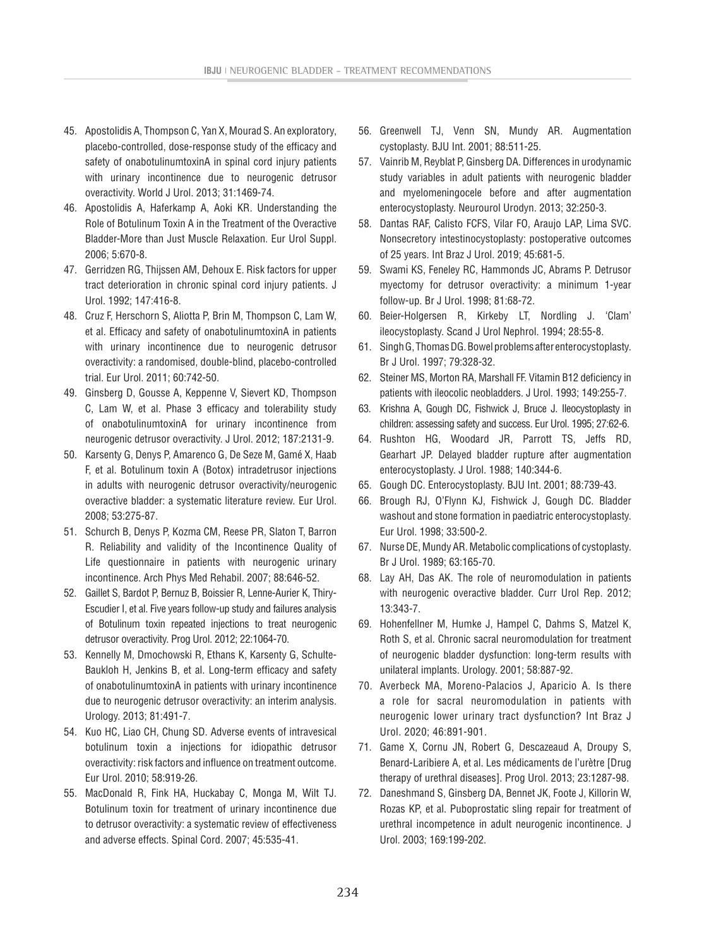- 45. Apostolidis A, Thompson C, Yan X, Mourad S. An exploratory, placebo-controlled, dose-response study of the efficacy and safety of onabotulinumtoxinA in spinal cord injury patients with urinary incontinence due to neurogenic detrusor overactivity. World J Urol. 2013; 31:1469-74.
- 46. Apostolidis A, Haferkamp A, Aoki KR. Understanding the Role of Botulinum Toxin A in the Treatment of the Overactive Bladder-More than Just Muscle Relaxation. Eur Urol Suppl. 2006; 5:670-8.
- 47. Gerridzen RG, Thijssen AM, Dehoux E. Risk factors for upper tract deterioration in chronic spinal cord injury patients. J Urol. 1992; 147:416-8.
- 48. Cruz F, Herschorn S, Aliotta P, Brin M, Thompson C, Lam W, et al. Efficacy and safety of onabotulinumtoxinA in patients with urinary incontinence due to neurogenic detrusor overactivity: a randomised, double-blind, placebo-controlled trial. Eur Urol. 2011; 60:742-50.
- 49. Ginsberg D, Gousse A, Keppenne V, Sievert KD, Thompson C, Lam W, et al. Phase 3 efficacy and tolerability study of onabotulinumtoxinA for urinary incontinence from neurogenic detrusor overactivity. J Urol. 2012; 187:2131-9.
- 50. Karsenty G, Denys P, Amarenco G, De Seze M, Gamé X, Haab F, et al. Botulinum toxin A (Botox) intradetrusor injections in adults with neurogenic detrusor overactivity/neurogenic overactive bladder: a systematic literature review. Eur Urol. 2008; 53:275-87.
- 51. Schurch B, Denys P, Kozma CM, Reese PR, Slaton T, Barron R. Reliability and validity of the Incontinence Quality of Life questionnaire in patients with neurogenic urinary incontinence. Arch Phys Med Rehabil. 2007; 88:646-52.
- 52. Gaillet S, Bardot P, Bernuz B, Boissier R, Lenne-Aurier K, Thiry-Escudier I, et al. Five years follow-up study and failures analysis of Botulinum toxin repeated injections to treat neurogenic detrusor overactivity. Prog Urol. 2012; 22:1064-70.
- 53. Kennelly M, Dmochowski R, Ethans K, Karsenty G, Schulte-Baukloh H, Jenkins B, et al. Long-term efficacy and safety of onabotulinumtoxinA in patients with urinary incontinence due to neurogenic detrusor overactivity: an interim analysis. Urology. 2013; 81:491-7.
- 54. Kuo HC, Liao CH, Chung SD. Adverse events of intravesical botulinum toxin a injections for idiopathic detrusor overactivity: risk factors and influence on treatment outcome. Eur Urol. 2010; 58:919-26.
- 55. MacDonald R, Fink HA, Huckabay C, Monga M, Wilt TJ. Botulinum toxin for treatment of urinary incontinence due to detrusor overactivity: a systematic review of effectiveness and adverse effects. Spinal Cord. 2007; 45:535-41.
- 56. Greenwell TJ, Venn SN, Mundy AR. Augmentation cystoplasty. BJU Int. 2001; 88:511-25.
- 57. Vainrib M, Reyblat P, Ginsberg DA. Differences in urodynamic study variables in adult patients with neurogenic bladder and myelomeningocele before and after augmentation enterocystoplasty. Neurourol Urodyn. 2013; 32:250-3.
- 58. Dantas RAF, Calisto FCFS, Vilar FO, Araujo LAP, Lima SVC. Nonsecretory intestinocystoplasty: postoperative outcomes of 25 years. Int Braz J Urol. 2019; 45:681-5.
- 59. Swami KS, Feneley RC, Hammonds JC, Abrams P. Detrusor myectomy for detrusor overactivity: a minimum 1-year follow-up. Br J Urol. 1998; 81:68-72.
- 60. Beier-Holgersen R, Kirkeby LT, Nordling J. 'Clam' ileocystoplasty. Scand J Urol Nephrol. 1994; 28:55-8.
- 61. Singh G, Thomas DG. Bowel problems after enterocystoplasty. Br J Urol. 1997; 79:328-32.
- 62. Steiner MS, Morton RA, Marshall FF. Vitamin B12 deficiency in patients with ileocolic neobladders. J Urol. 1993; 149:255-7.
- 63. Krishna A, Gough DC, Fishwick J, Bruce J. Ileocystoplasty in children: assessing safety and success. Eur Urol. 1995; 27:62-6.
- 64. Rushton HG, Woodard JR, Parrott TS, Jeffs RD, Gearhart JP. Delayed bladder rupture after augmentation enterocystoplasty. J Urol. 1988; 140:344-6.
- 65. Gough DC. Enterocystoplasty. BJU Int. 2001; 88:739-43.
- 66. Brough RJ, O'Flynn KJ, Fishwick J, Gough DC. Bladder washout and stone formation in paediatric enterocystoplasty. Eur Urol. 1998; 33:500-2.
- 67. Nurse DE, Mundy AR. Metabolic complications of cystoplasty. Br J Urol. 1989; 63:165-70.
- 68. Lay AH, Das AK. The role of neuromodulation in patients with neurogenic overactive bladder. Curr Urol Rep. 2012; 13:343-7.
- 69. Hohenfellner M, Humke J, Hampel C, Dahms S, Matzel K, Roth S, et al. Chronic sacral neuromodulation for treatment of neurogenic bladder dysfunction: long-term results with unilateral implants. Urology. 2001; 58:887-92.
- 70. Averbeck MA, Moreno-Palacios J, Aparicio A. Is there a role for sacral neuromodulation in patients with neurogenic lower urinary tract dysfunction? Int Braz J Urol. 2020; 46:891-901.
- 71. Game X, Cornu JN, Robert G, Descazeaud A, Droupy S, Benard-Laribiere A, et al. Les médicaments de l'urètre [Drug therapy of urethral diseases]. Prog Urol. 2013; 23:1287-98.
- 72. Daneshmand S, Ginsberg DA, Bennet JK, Foote J, Killorin W, Rozas KP, et al. Puboprostatic sling repair for treatment of urethral incompetence in adult neurogenic incontinence. J Urol. 2003; 169:199-202.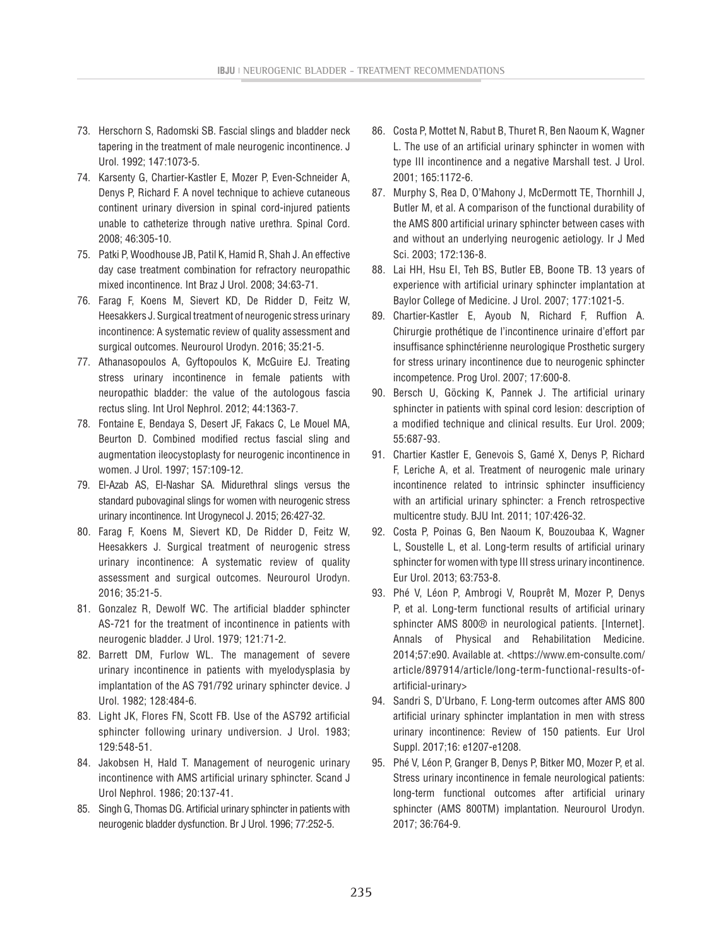- 73. Herschorn S, Radomski SB. Fascial slings and bladder neck tapering in the treatment of male neurogenic incontinence. J Urol. 1992; 147:1073-5.
- 74. Karsenty G, Chartier-Kastler E, Mozer P, Even-Schneider A, Denys P, Richard F. A novel technique to achieve cutaneous continent urinary diversion in spinal cord-injured patients unable to catheterize through native urethra. Spinal Cord. 2008; 46:305-10.
- 75. Patki P, Woodhouse JB, Patil K, Hamid R, Shah J. An effective day case treatment combination for refractory neuropathic mixed incontinence. Int Braz J Urol. 2008; 34:63-71.
- 76. Farag F, Koens M, Sievert KD, De Ridder D, Feitz W, Heesakkers J. Surgical treatment of neurogenic stress urinary incontinence: A systematic review of quality assessment and surgical outcomes. Neurourol Urodyn. 2016; 35:21-5.
- 77. Athanasopoulos A, Gyftopoulos K, McGuire EJ. Treating stress urinary incontinence in female patients with neuropathic bladder: the value of the autologous fascia rectus sling. Int Urol Nephrol. 2012; 44:1363-7.
- 78. Fontaine E, Bendaya S, Desert JF, Fakacs C, Le Mouel MA, Beurton D. Combined modified rectus fascial sling and augmentation ileocystoplasty for neurogenic incontinence in women. J Urol. 1997; 157:109-12.
- 79. El-Azab AS, El-Nashar SA. Midurethral slings versus the standard pubovaginal slings for women with neurogenic stress urinary incontinence. Int Urogynecol J. 2015; 26:427-32.
- 80. Farag F, Koens M, Sievert KD, De Ridder D, Feitz W, Heesakkers J. Surgical treatment of neurogenic stress urinary incontinence: A systematic review of quality assessment and surgical outcomes. Neurourol Urodyn. 2016; 35:21-5.
- 81. Gonzalez R, Dewolf WC. The artificial bladder sphincter AS-721 for the treatment of incontinence in patients with neurogenic bladder. J Urol. 1979; 121:71-2.
- 82. Barrett DM, Furlow WL. The management of severe urinary incontinence in patients with myelodysplasia by implantation of the AS 791/792 urinary sphincter device. J Urol. 1982; 128:484-6.
- 83. Light JK, Flores FN, Scott FB. Use of the AS792 artificial sphincter following urinary undiversion. J Urol. 1983; 129:548-51.
- 84. Jakobsen H, Hald T. Management of neurogenic urinary incontinence with AMS artificial urinary sphincter. Scand J Urol Nephrol. 1986; 20:137-41.
- 85. Singh G, Thomas DG. Artificial urinary sphincter in patients with neurogenic bladder dysfunction. Br J Urol. 1996; 77:252-5.
- 86. Costa P, Mottet N, Rabut B, Thuret R, Ben Naoum K, Wagner L. The use of an artificial urinary sphincter in women with type III incontinence and a negative Marshall test. J Urol. 2001; 165:1172-6.
- 87. Murphy S, Rea D, O'Mahony J, McDermott TE, Thornhill J, Butler M, et al. A comparison of the functional durability of the AMS 800 artificial urinary sphincter between cases with and without an underlying neurogenic aetiology. Ir J Med Sci. 2003; 172:136-8.
- 88. Lai HH, Hsu EI, Teh BS, Butler EB, Boone TB. 13 years of experience with artificial urinary sphincter implantation at Baylor College of Medicine. J Urol. 2007; 177:1021-5.
- 89. Chartier-Kastler E, Ayoub N, Richard F, Ruffion A. Chirurgie prothétique de l'incontinence urinaire d'effort par insuffisance sphinctérienne neurologique Prosthetic surgery for stress urinary incontinence due to neurogenic sphincter incompetence. Prog Urol. 2007; 17:600-8.
- 90. Bersch U, Göcking K, Pannek J. The artificial urinary sphincter in patients with spinal cord lesion: description of a modified technique and clinical results. Eur Urol. 2009; 55:687-93.
- 91. Chartier Kastler E, Genevois S, Gamé X, Denys P, Richard F, Leriche A, et al. Treatment of neurogenic male urinary incontinence related to intrinsic sphincter insufficiency with an artificial urinary sphincter: a French retrospective multicentre study. BJU Int. 2011; 107:426-32.
- 92. Costa P, Poinas G, Ben Naoum K, Bouzoubaa K, Wagner L, Soustelle L, et al. Long-term results of artificial urinary sphincter for women with type III stress urinary incontinence. Eur Urol. 2013; 63:753-8.
- 93. Phé V, Léon P, Ambrogi V, Rouprêt M, Mozer P, Denys P, et al. Long-term functional results of artificial urinary sphincter AMS 800<sup>®</sup> in neurological patients. [Internet]. Annals of Physical and Rehabilitation Medicine. 2014;57:e90. Available at. <https://www.em-consulte.com/ article/897914/article/long-term-functional-results-ofartificial-urinary>
- 94. Sandri S, D'Urbano, F. Long-term outcomes after AMS 800 artificial urinary sphincter implantation in men with stress urinary incontinence: Review of 150 patients. Eur Urol Suppl. 2017;16: e1207-e1208.
- 95. Phé V, Léon P, Granger B, Denys P, Bitker MO, Mozer P, et al. Stress urinary incontinence in female neurological patients: long-term functional outcomes after artificial urinary sphincter (AMS 800TM) implantation. Neurourol Urodyn. 2017; 36:764-9.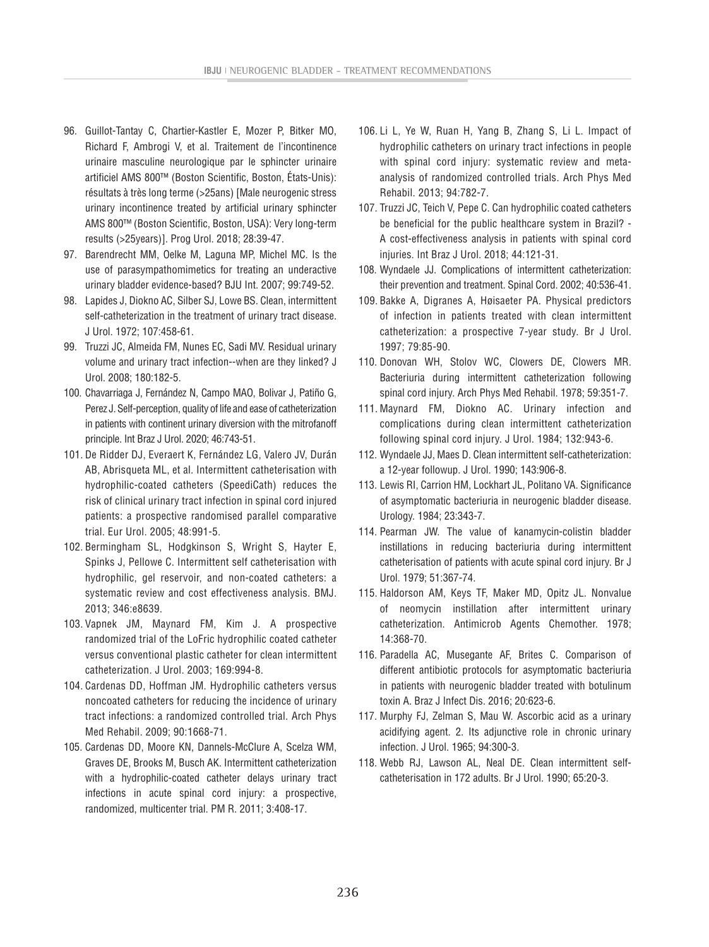- 96. Guillot-Tantay C, Chartier-Kastler E, Mozer P, Bitker MO, Richard F, Ambrogi V, et al. Traitement de l'incontinence urinaire masculine neurologique par le sphincter urinaire artificiel AMS 800™ (Boston Scientific, Boston, États-Unis): résultats à très long terme (>25ans) [Male neurogenic stress urinary incontinence treated by artificial urinary sphincter AMS 800™ (Boston Scientific, Boston, USA): Very long-term results (>25years)]. Prog Urol. 2018; 28:39-47.
- 97. Barendrecht MM, Oelke M, Laguna MP, Michel MC. Is the use of parasympathomimetics for treating an underactive urinary bladder evidence-based? BJU Int. 2007; 99:749-52.
- 98. Lapides J, Diokno AC, Silber SJ, Lowe BS. Clean, intermittent self-catheterization in the treatment of urinary tract disease. J Urol. 1972; 107:458-61.
- 99. Truzzi JC, Almeida FM, Nunes EC, Sadi MV. Residual urinary volume and urinary tract infection--when are they linked? J Urol. 2008; 180:182-5.
- 100. Chavarriaga J, Fernández N, Campo MAO, Bolivar J, Patiño G, Perez J. Self-perception, quality of life and ease of catheterization in patients with continent urinary diversion with the mitrofanoff principle. Int Braz J Urol. 2020; 46:743-51.
- 101. De Ridder DJ, Everaert K, Fernández LG, Valero JV, Durán AB, Abrisqueta ML, et al. Intermittent catheterisation with hydrophilic-coated catheters (SpeediCath) reduces the risk of clinical urinary tract infection in spinal cord injured patients: a prospective randomised parallel comparative trial. Eur Urol. 2005; 48:991-5.
- 102. Bermingham SL, Hodgkinson S, Wright S, Hayter E, Spinks J, Pellowe C. Intermittent self catheterisation with hydrophilic, gel reservoir, and non-coated catheters: a systematic review and cost effectiveness analysis. BMJ. 2013; 346:e8639.
- 103. Vapnek JM, Maynard FM, Kim J. A prospective randomized trial of the LoFric hydrophilic coated catheter versus conventional plastic catheter for clean intermittent catheterization. J Urol. 2003; 169:994-8.
- 104. Cardenas DD, Hoffman JM. Hydrophilic catheters versus noncoated catheters for reducing the incidence of urinary tract infections: a randomized controlled trial. Arch Phys Med Rehabil. 2009; 90:1668-71.
- 105. Cardenas DD, Moore KN, Dannels-McClure A, Scelza WM, Graves DE, Brooks M, Busch AK. Intermittent catheterization with a hydrophilic-coated catheter delays urinary tract infections in acute spinal cord injury: a prospective, randomized, multicenter trial. PM R. 2011; 3:408-17.
- 106. Li L, Ye W, Ruan H, Yang B, Zhang S, Li L. Impact of hydrophilic catheters on urinary tract infections in people with spinal cord injury: systematic review and metaanalysis of randomized controlled trials. Arch Phys Med Rehabil. 2013; 94:782-7.
- 107. Truzzi JC, Teich V, Pepe C. Can hydrophilic coated catheters be beneficial for the public healthcare system in Brazil? - A cost-effectiveness analysis in patients with spinal cord injuries. Int Braz J Urol. 2018; 44:121-31.
- 108. Wyndaele JJ. Complications of intermittent catheterization: their prevention and treatment. Spinal Cord. 2002; 40:536-41.
- 109. Bakke A, Digranes A, Høisaeter PA. Physical predictors of infection in patients treated with clean intermittent catheterization: a prospective 7-year study. Br J Urol. 1997; 79:85-90.
- 110. Donovan WH, Stolov WC, Clowers DE, Clowers MR. Bacteriuria during intermittent catheterization following spinal cord injury. Arch Phys Med Rehabil. 1978; 59:351-7.
- 111. Maynard FM, Diokno AC. Urinary infection and complications during clean intermittent catheterization following spinal cord injury. J Urol. 1984; 132:943-6.
- 112. Wyndaele JJ, Maes D. Clean intermittent self-catheterization: a 12-year followup. J Urol. 1990; 143:906-8.
- 113. Lewis RI, Carrion HM, Lockhart JL, Politano VA. Significance of asymptomatic bacteriuria in neurogenic bladder disease. Urology. 1984; 23:343-7.
- 114. Pearman JW. The value of kanamycin-colistin bladder instillations in reducing bacteriuria during intermittent catheterisation of patients with acute spinal cord injury. Br J Urol. 1979; 51:367-74.
- 115. Haldorson AM, Keys TF, Maker MD, Opitz JL. Nonvalue of neomycin instillation after intermittent urinary catheterization. Antimicrob Agents Chemother. 1978; 14:368-70.
- 116. Paradella AC, Musegante AF, Brites C. Comparison of different antibiotic protocols for asymptomatic bacteriuria in patients with neurogenic bladder treated with botulinum toxin A. Braz J Infect Dis. 2016; 20:623-6.
- 117. Murphy FJ, Zelman S, Mau W. Ascorbic acid as a urinary acidifying agent. 2. Its adjunctive role in chronic urinary infection. J Urol. 1965; 94:300-3.
- 118. Webb RJ, Lawson AL, Neal DE. Clean intermittent selfcatheterisation in 172 adults. Br J Urol. 1990; 65:20-3.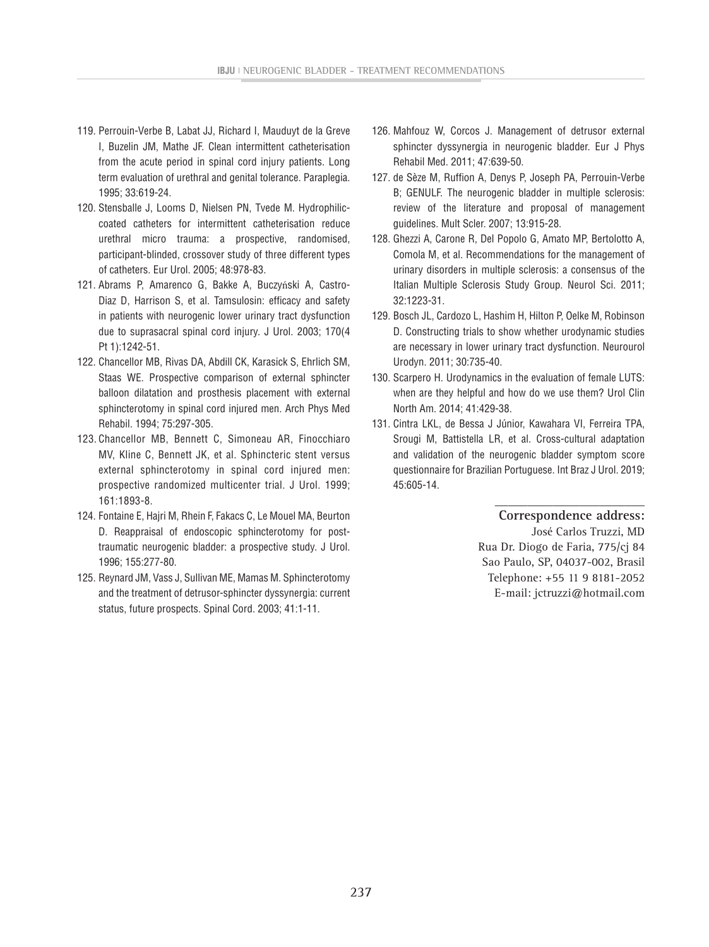- 119. Perrouin-Verbe B, Labat JJ, Richard I, Mauduyt de la Greve I, Buzelin JM, Mathe JF. Clean intermittent catheterisation from the acute period in spinal cord injury patients. Long term evaluation of urethral and genital tolerance. Paraplegia. 1995; 33:619-24.
- 120. Stensballe J, Looms D, Nielsen PN, Tvede M. Hydrophiliccoated catheters for intermittent catheterisation reduce urethral micro trauma: a prospective, randomised, participant-blinded, crossover study of three different types of catheters. Eur Urol. 2005; 48:978-83.
- 121. Abrams P, Amarenco G, Bakke A, Buczyński A, Castro-Diaz D, Harrison S, et al. Tamsulosin: efficacy and safety in patients with neurogenic lower urinary tract dysfunction due to suprasacral spinal cord injury. J Urol. 2003; 170(4 Pt 1):1242-51.
- 122. Chancellor MB, Rivas DA, Abdill CK, Karasick S, Ehrlich SM, Staas WE. Prospective comparison of external sphincter balloon dilatation and prosthesis placement with external sphincterotomy in spinal cord injured men. Arch Phys Med Rehabil. 1994; 75:297-305.
- 123. Chancellor MB, Bennett C, Simoneau AR, Finocchiaro MV, Kline C, Bennett JK, et al. Sphincteric stent versus external sphincterotomy in spinal cord injured men: prospective randomized multicenter trial. J Urol. 1999; 161:1893-8.
- 124. Fontaine E, Hajri M, Rhein F, Fakacs C, Le Mouel MA, Beurton D. Reappraisal of endoscopic sphincterotomy for posttraumatic neurogenic bladder: a prospective study. J Urol. 1996; 155:277-80.
- 125. Reynard JM, Vass J, Sullivan ME, Mamas M. Sphincterotomy and the treatment of detrusor-sphincter dyssynergia: current status, future prospects. Spinal Cord. 2003; 41:1-11.
- 126. Mahfouz W, Corcos J. Management of detrusor external sphincter dyssynergia in neurogenic bladder. Eur J Phys Rehabil Med. 2011; 47:639-50.
- 127. de Sèze M, Ruffion A, Denys P, Joseph PA, Perrouin-Verbe B; GENULF. The neurogenic bladder in multiple sclerosis: review of the literature and proposal of management guidelines. Mult Scler. 2007; 13:915-28.
- 128. Ghezzi A, Carone R, Del Popolo G, Amato MP, Bertolotto A, Comola M, et al. Recommendations for the management of urinary disorders in multiple sclerosis: a consensus of the Italian Multiple Sclerosis Study Group. Neurol Sci. 2011; 32:1223-31.
- 129. Bosch JL, Cardozo L, Hashim H, Hilton P, Oelke M, Robinson D. Constructing trials to show whether urodynamic studies are necessary in lower urinary tract dysfunction. Neurourol Urodyn. 2011; 30:735-40.
- 130. Scarpero H. Urodynamics in the evaluation of female LUTS: when are they helpful and how do we use them? Urol Clin North Am. 2014; 41:429-38.
- 131. Cintra LKL, de Bessa J Júnior, Kawahara VI, Ferreira TPA, Srougi M, Battistella LR, et al. Cross-cultural adaptation and validation of the neurogenic bladder symptom score questionnaire for Brazilian Portuguese. Int Braz J Urol. 2019; 45:605-14.

#### **\_\_\_\_\_\_\_\_\_\_\_\_\_\_\_\_\_\_\_\_\_\_\_ Correspondence address:**

José Carlos Truzzi, MD Rua Dr. Diogo de Faria, 775/cj 84 Sao Paulo, SP, 04037-002, Brasil Telephone: +55 11 9 8181-2052 E-mail: jctruzzi@hotmail.com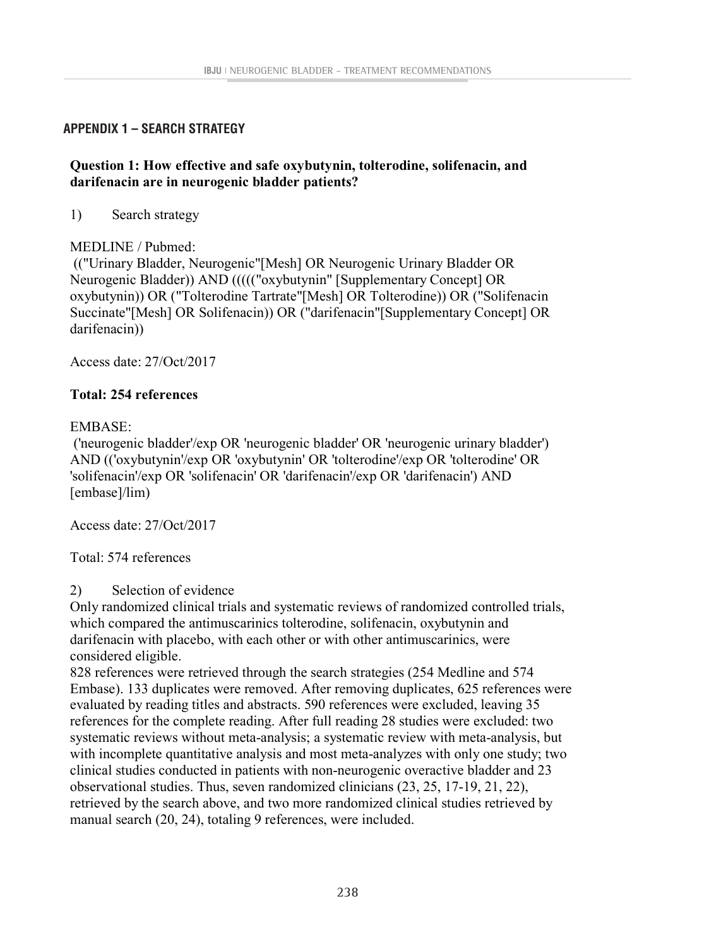# **APPENDIX 1 – SEARCH STRATEGY Appendix 1 – Search strategy**

# **Question 1: How effective and safe oxybutynin, tolterodine, solifenacin, and darifenacin are in neurogenic bladder patients?**

1) Search strategy

# MEDLINE / Pubmed:

(("Urinary Bladder, Neurogenic"[Mesh] OR Neurogenic Urinary Bladder OR Neurogenic Bladder)) AND ((((("oxybutynin" [Supplementary Concept] OR oxybutynin)) OR ("Tolterodine Tartrate"[Mesh] OR Tolterodine)) OR ("Solifenacin Succinate"[Mesh] OR Solifenacin)) OR ("darifenacin"[Supplementary Concept] OR darifenacin))

Access date: 27/Oct/2017

# **Total: 254 references**

# EMBASE:

('neurogenic bladder'/exp OR 'neurogenic bladder' OR 'neurogenic urinary bladder') AND (('oxybutynin'/exp OR 'oxybutynin' OR 'tolterodine'/exp OR 'tolterodine' OR 'solifenacin'/exp OR 'solifenacin' OR 'darifenacin'/exp OR 'darifenacin') AND [embase]/lim)

Access date: 27/Oct/2017

Total: 574 references

2) Selection of evidence

Only randomized clinical trials and systematic reviews of randomized controlled trials, which compared the antimuscarinics tolterodine, solifenacin, oxybutynin and darifenacin with placebo, with each other or with other antimuscarinics, were considered eligible.

828 references were retrieved through the search strategies (254 Medline and 574 Embase). 133 duplicates were removed. After removing duplicates, 625 references were evaluated by reading titles and abstracts. 590 references were excluded, leaving 35 references for the complete reading. After full reading 28 studies were excluded: two systematic reviews without meta-analysis; a systematic review with meta-analysis, but with incomplete quantitative analysis and most meta-analyzes with only one study; two clinical studies conducted in patients with non-neurogenic overactive bladder and 23 observational studies. Thus, seven randomized clinicians (23, 25, 17-19, 21, 22), retrieved by the search above, and two more randomized clinical studies retrieved by manual search (20, 24), totaling 9 references, were included.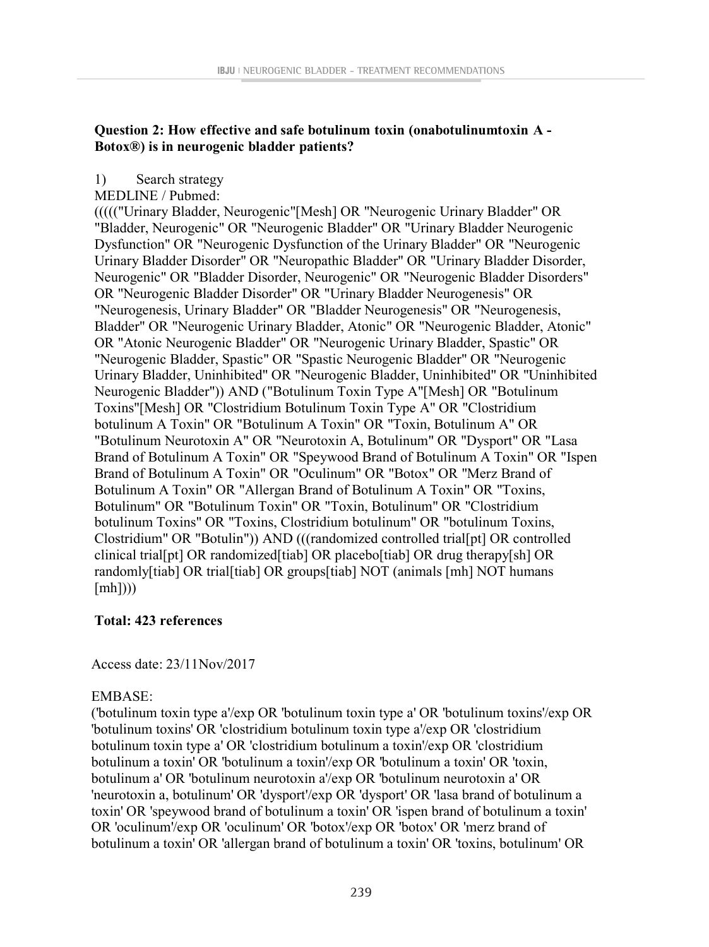### **Question 2: How effective and safe botulinum toxin (onabotulinumtoxin A - Botox®**) is in neurogenic bladder patients? **Botox®) is in neurogenic bladder patients?**

## 1) Search strategy

MEDLINE / Pubmed:

(((("Urinary Bladder, Neurogenic"[Mesh] OR "Neurogenic Urinary Bladder" OR "Bladder, Neurogenic" OR "Neurogenic Bladder" OR "Urinary Bladder Neurogenic Dysfunction" OR "Neurogenic Dysfunction of the Urinary Bladder" OR "Neurogenic Urinary Bladder Disorder" OR "Neuropathic Bladder" OR "Urinary Bladder Disorder, Neurogenic" OR "Bladder Disorder, Neurogenic" OR "Neurogenic Bladder Disorders" OR "Neurogenic Bladder Disorder" OR "Urinary Bladder Neurogenesis" OR "Neurogenesis, Urinary Bladder" OR "Bladder Neurogenesis" OR "Neurogenesis, Bladder" OR "Neurogenic Urinary Bladder, Atonic" OR "Neurogenic Bladder, Atonic" OR "Atonic Neurogenic Bladder" OR "Neurogenic Urinary Bladder, Spastic" OR "Neurogenic Bladder, Spastic" OR "Spastic Neurogenic Bladder" OR "Neurogenic Urinary Bladder, Uninhibited" OR "Neurogenic Bladder, Uninhibited" OR "Uninhibited Neurogenic Bladder")) AND ("Botulinum Toxin Type A"[Mesh] OR "Botulinum Toxins"[Mesh] OR "Clostridium Botulinum Toxin Type A" OR "Clostridium botulinum A Toxin" OR "Botulinum A Toxin" OR "Toxin, Botulinum A" OR "Botulinum Neurotoxin A" OR "Neurotoxin A, Botulinum" OR "Dysport" OR "Lasa Brand of Botulinum A Toxin" OR "Speywood Brand of Botulinum A Toxin" OR "Ispen Brand of Botulinum A Toxin" OR "Oculinum" OR "Botox" OR "Merz Brand of Botulinum A Toxin" OR "Allergan Brand of Botulinum A Toxin" OR "Toxins, Botulinum" OR "Botulinum Toxin" OR "Toxin, Botulinum" OR "Clostridium botulinum Toxins" OR "Toxins, Clostridium botulinum" OR "botulinum Toxins, Clostridium" OR "Botulin")) AND (((randomized controlled trial[pt] OR controlled clinical trial[pt] OR randomized[tiab] OR placebo[tiab] OR drug therapy[sh] OR  $r$ andomly $\left[\text{tial}\right]$  OR trial $\left[\text{tial}\right]$  OR groups $\left[\text{tial}\right]$  NOT  $\left[\text{tail}\right]$  NOT humans  $[mh]$ ))  $\text{[mhl]}$  $\mathbf{L}$ 

#### **Total: 423 references Total: 423 references**

 $A = 1.22/11N$ , 2017 Access date: 23/11Nov/2017

#### $\mathbf{E}$ EMBASE:

 $($ EIVIDASE. ('botulinum toxin type a'/exp OR 'botulinum toxin type a' OR 'botulinum toxins'/exp OR 'botulinum toxins' OR 'clostridium botulinum toxin type a'/exp OR 'clostridium botulinum toxin type a'/exp OR botulinum toxin type a' OR 'clostridium botulinum a toxin'/exp OR 'clostridium<br>
botulinum toxin type a' OR 'clostridium botulinum a toxin'/exp OR 'clostridium botulinum a toxin' OR 'botulinum a toxin'/exp OR 'botulinum a toxin' OR 'toxin, botulinum a' OR 'botulinum neurotoxin a'/exp OR 'botulinum neurotoxin a' OR<br>. 'neurotoxin a, botulinum' OR 'dysport'/exp OR 'dysport' OR 'lasa brand of botulinum a<br>'neurotoxin a, botulinum' OR 'dysport'/exp OR 'dysport' OR 'lasa brand of botulinum a toxin' OR 'speywood brand of botulinum a toxin' OR 'ispen brand of botulinum a toxin' OR 'oculinum'/exp OR 'oculinum' OR 'botox'/exp OR 'botox' OR 'merz brand of botulinum a toxin' OR 'allergan brand of botulinum a toxin' OR 'toxins, botulinum' OR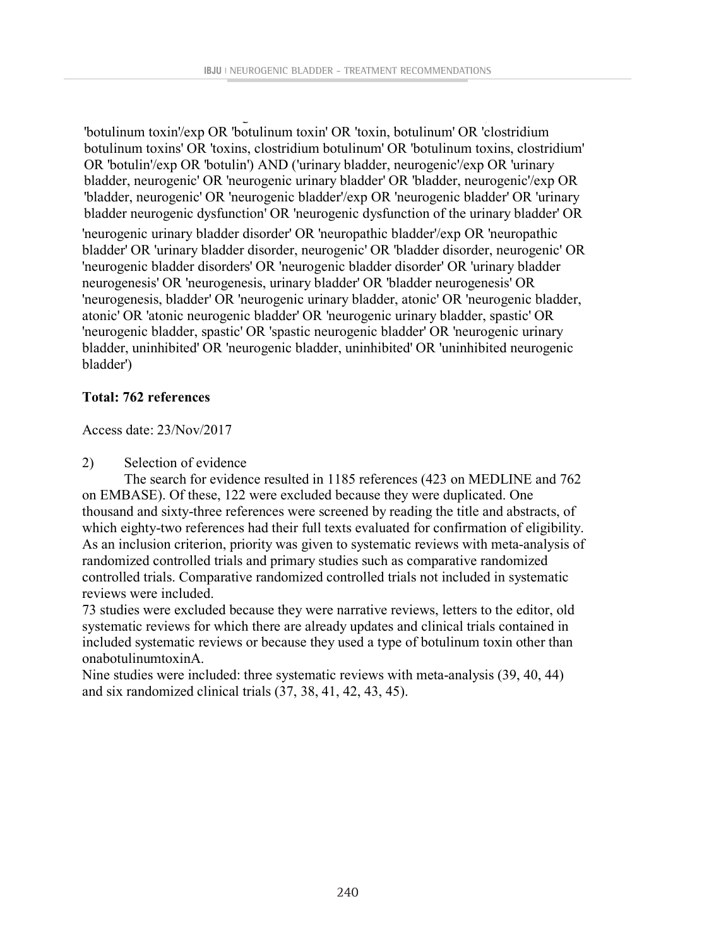toxin' OR 'speywood brand of botulinum a toxin' OR 'ispen brand of botulinum a toxin'

botulinum a toxin' OR 'allergan brand of botulinum a toxin' OR 'toxins, botulinum' OR

'botulinum toxin'/exp OR 'botulinum toxin' OR 'toxin, botulinum' OR 'clostridium botulinum toxins' OR 'toxins, clostridium botulinum' OR 'botulinum toxins, clostridium' OR 'botulin'/exp OR 'botulin') AND ('urinary bladder, neurogenic'/exp OR 'urinary bladder, neurogenic' OR 'neurogenic urinary bladder' OR 'bladder, neurogenic'/exp OR 'bladder, neurogenic' OR 'neurogenic bladder'/exp OR 'neurogenic bladder' OR 'urinary bladder neurogenic dysfunction' OR 'neurogenic dysfunction of the urinary bladder' OR 'neurogenic urinary bladder disorder' OR 'neuropathic bladder'/exp OR 'neuropathic bladder' OR 'urinary bladder disorder, neurogenic' OR 'bladder disorder, neurogenic' OR 'neurogenic bladder disorders' OR 'neurogenic bladder disorder' OR 'urinary bladder neurogenesis' OR 'neurogenesis, urinary bladder' OR 'bladder neurogenesis' OR 'neurogenesis, bladder' OR 'neurogenic urinary bladder, atonic' OR 'neurogenic bladder, atonic' OR 'atonic neurogenic bladder' OR 'neurogenic urinary bladder, spastic' OR 'neurogenic bladder, spastic' OR 'spastic neurogenic bladder' OR 'neurogenic urinary bladder, uninhibited' OR 'neurogenic bladder, uninhibited' OR 'uninhibited neurogenic bladder')

## **Total: 762 references**

Access date: 23/Nov/2017

2) Selection of evidence

The search for evidence resulted in 1185 references (423 on MEDLINE and 762 on EMBASE). Of these, 122 were excluded because they were duplicated. One thousand and sixty-three references were screened by reading the title and abstracts, of which eighty-two references had their full texts evaluated for confirmation of eligibility. As an inclusion criterion, priority was given to systematic reviews with meta-analysis of randomized controlled trials and primary studies such as comparative randomized controlled trials. Comparative randomized controlled trials not included in systematic reviews were included.

73 studies were excluded because they were narrative reviews, letters to the editor, old systematic reviews for which there are already updates and clinical trials contained in included systematic reviews or because they used a type of botulinum toxin other than onabotulinumtoxinA.

Nine studies were included: three systematic reviews with meta-analysis (39, 40, 44) and six randomized clinical trials (37, 38, 41, 42, 43, 45).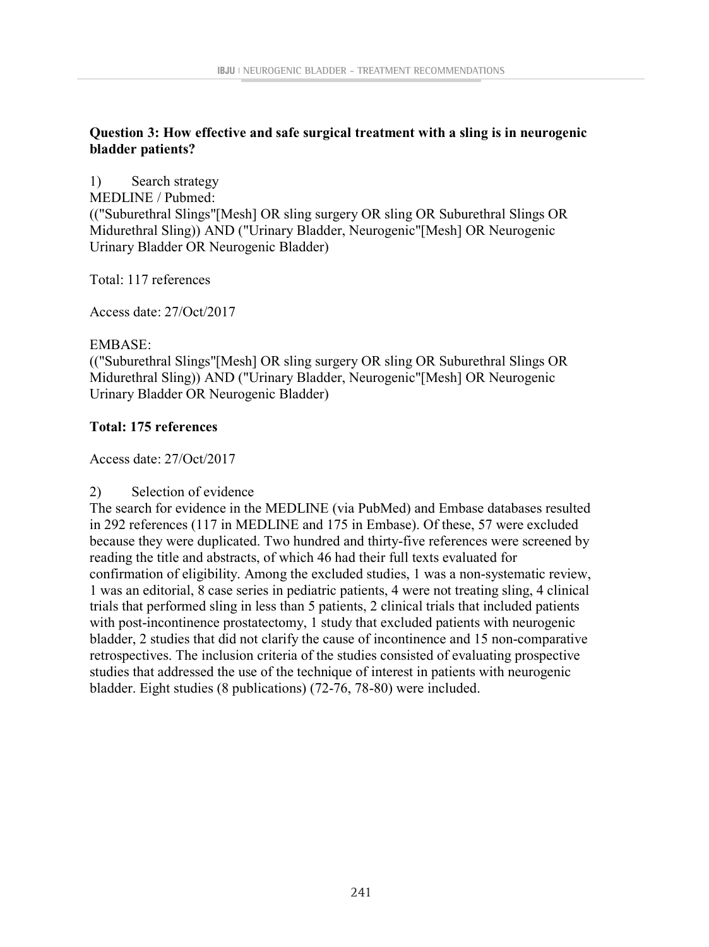# **Question 3: How effective and safe surgical treatment with a sling is in neurogenic bladder patients?**

1) Search strategy

MEDLINE / Pubmed:

(("Suburethral Slings"[Mesh] OR sling surgery OR sling OR Suburethral Slings OR Midurethral Sling)) AND ("Urinary Bladder, Neurogenic"[Mesh] OR Neurogenic Urinary Bladder OR Neurogenic Bladder)

Total: 117 references

Access date: 27/Oct/2017

# EMBASE:

(("Suburethral Slings"[Mesh] OR sling surgery OR sling OR Suburethral Slings OR Midurethral Sling)) AND ("Urinary Bladder, Neurogenic"[Mesh] OR Neurogenic Urinary Bladder OR Neurogenic Bladder)

# **Total: 175 references**

Access date: 27/Oct/2017

# 2) Selection of evidence

The search for evidence in the MEDLINE (via PubMed) and Embase databases resulted in 292 references (117 in MEDLINE and 175 in Embase). Of these, 57 were excluded because they were duplicated. Two hundred and thirty-five references were screened by reading the title and abstracts, of which 46 had their full texts evaluated for confirmation of eligibility. Among the excluded studies, 1 was a non-systematic review, 1 was an editorial, 8 case series in pediatric patients, 4 were not treating sling, 4 clinical trials that performed sling in less than 5 patients, 2 clinical trials that included patients with post-incontinence prostatectomy, 1 study that excluded patients with neurogenic bladder, 2 studies that did not clarify the cause of incontinence and 15 non-comparative retrospectives. The inclusion criteria of the studies consisted of evaluating prospective studies that addressed the use of the technique of interest in patients with neurogenic bladder. Eight studies (8 publications) (72-76, 78-80) were included.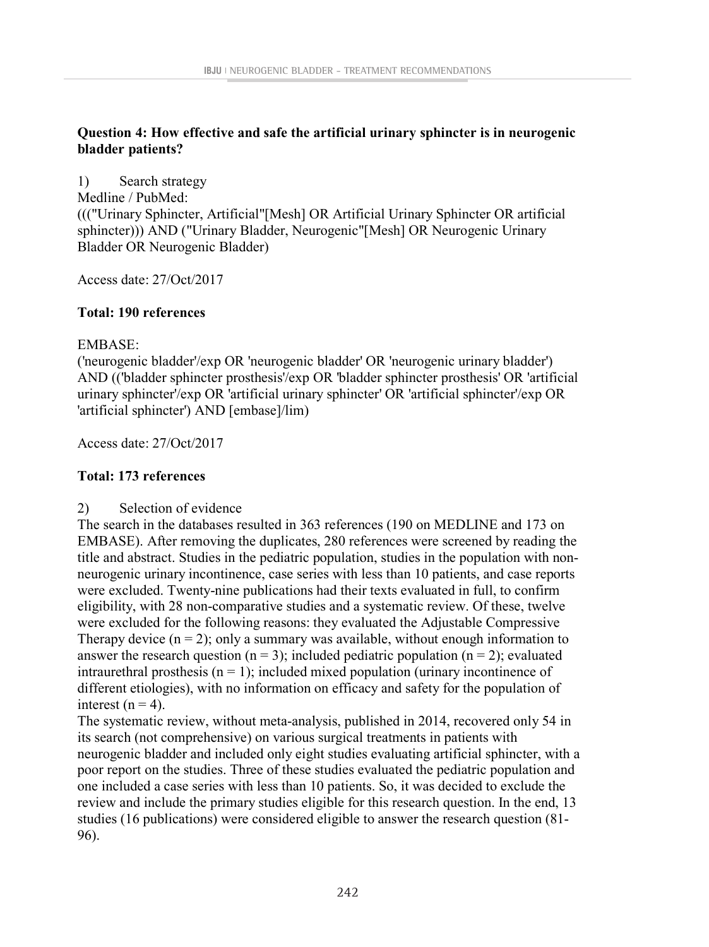# **Question 4: How effective and safe the artificial urinary sphincter is in neurogenic bladder patients?**

1) Search strategy

Medline / PubMed:

((("Urinary Sphincter, Artificial"[Mesh] OR Artificial Urinary Sphincter OR artificial sphincter))) AND ("Urinary Bladder, Neurogenic"[Mesh] OR Neurogenic Urinary Bladder OR Neurogenic Bladder)

Access date: 27/Oct/2017

# **Total: 190 references**

# EMBASE:

('neurogenic bladder'/exp OR 'neurogenic bladder' OR 'neurogenic urinary bladder') AND (('bladder sphincter prosthesis'/exp OR 'bladder sphincter prosthesis' OR 'artificial urinary sphincter'/exp OR 'artificial urinary sphincter' OR 'artificial sphincter'/exp OR 'artificial sphincter') AND [embase]/lim)

Access date: 27/Oct/2017

# **Total: 173 references**

# 2) Selection of evidence

The search in the databases resulted in 363 references (190 on MEDLINE and 173 on EMBASE). After removing the duplicates, 280 references were screened by reading the title and abstract. Studies in the pediatric population, studies in the population with nonneurogenic urinary incontinence, case series with less than 10 patients, and case reports were excluded. Twenty-nine publications had their texts evaluated in full, to confirm eligibility, with 28 non-comparative studies and a systematic review. Of these, twelve were excluded for the following reasons: they evaluated the Adjustable Compressive Therapy device  $(n = 2)$ ; only a summary was available, without enough information to answer the research question ( $n = 3$ ); included pediatric population ( $n = 2$ ); evaluated intraurethral prosthesis ( $n = 1$ ); included mixed population (urinary incontinence of different etiologies), with no information on efficacy and safety for the population of interest ( $n = 4$ ).

The systematic review, without meta-analysis, published in 2014, recovered only 54 in its search (not comprehensive) on various surgical treatments in patients with neurogenic bladder and included only eight studies evaluating artificial sphincter, with a poor report on the studies. Three of these studies evaluated the pediatric population and one included a case series with less than 10 patients. So, it was decided to exclude the review and include the primary studies eligible for this research question. In the end, 13 studies (16 publications) were considered eligible to answer the research question (81- 96).